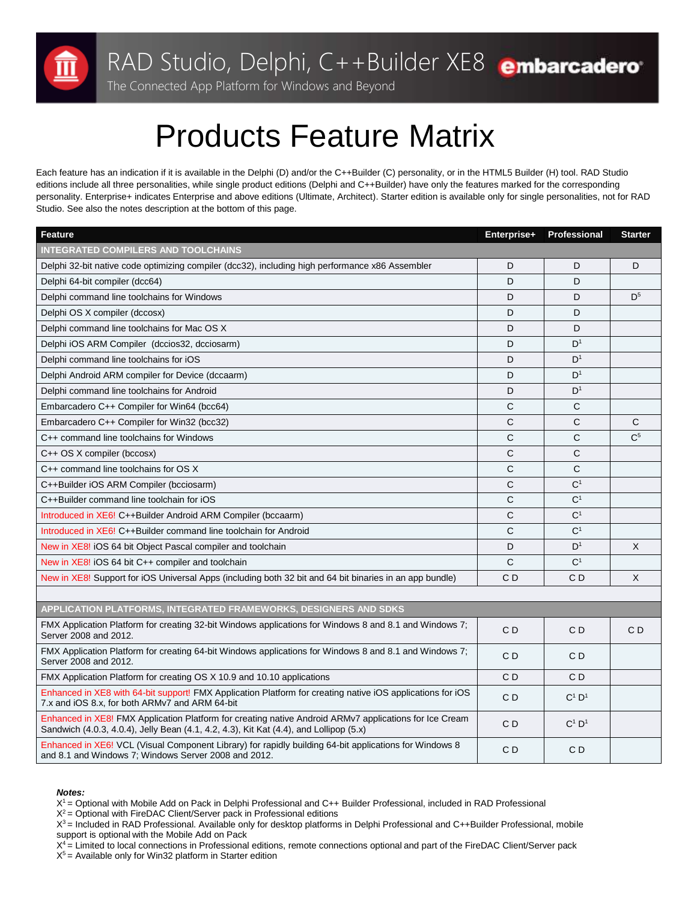

The Connected App Platform for Windows and Beyond

## Products Feature Matrix

Each feature has an indication if it is available in the Delphi (D) and/or the C++Builder (C) personality, or in the HTML5 Builder (H) tool. RAD Studio editions include all three personalities, while single product editions (Delphi and C++Builder) have only the features marked for the corresponding personality. Enterprise+ indicates Enterprise and above editions (Ultimate, Architect). Starter edition is available only for single personalities, not for RAD Studio. See also the notes description at the bottom of this page.

| Feature                                                                                                                                                                                          | Enterprise+    | Professional         | <b>Starter</b> |
|--------------------------------------------------------------------------------------------------------------------------------------------------------------------------------------------------|----------------|----------------------|----------------|
| <b>INTEGRATED COMPILERS AND TOOLCHAINS</b>                                                                                                                                                       |                |                      |                |
| Delphi 32-bit native code optimizing compiler (dcc32), including high performance x86 Assembler                                                                                                  | D              | D                    | D              |
| Delphi 64-bit compiler (dcc64)                                                                                                                                                                   | D              | D                    |                |
| Delphi command line toolchains for Windows                                                                                                                                                       | D              | D                    | D <sup>5</sup> |
| Delphi OS X compiler (dccosx)                                                                                                                                                                    | D              | D                    |                |
| Delphi command line toolchains for Mac OS X                                                                                                                                                      | D              | D                    |                |
| Delphi iOS ARM Compiler (dccios32, dcciosarm)                                                                                                                                                    | D              | D <sup>1</sup>       |                |
| Delphi command line toolchains for iOS                                                                                                                                                           | D              | D <sup>1</sup>       |                |
| Delphi Android ARM compiler for Device (dccaarm)                                                                                                                                                 | D              | D <sup>1</sup>       |                |
| Delphi command line toolchains for Android                                                                                                                                                       | D              | D <sup>1</sup>       |                |
| Embarcadero C++ Compiler for Win64 (bcc64)                                                                                                                                                       | C              | С                    |                |
| Embarcadero C++ Compiler for Win32 (bcc32)                                                                                                                                                       | C              | С                    | C              |
| C++ command line toolchains for Windows                                                                                                                                                          | C              | С                    | C <sup>5</sup> |
| C++ OS X compiler (bccosx)                                                                                                                                                                       | C              | C                    |                |
| C++ command line toolchains for OS X                                                                                                                                                             | $\mathsf{C}$   | $\mathsf{C}$         |                |
| C++Builder iOS ARM Compiler (bcciosarm)                                                                                                                                                          | C              | C <sup>1</sup>       |                |
| C++Builder command line toolchain for iOS                                                                                                                                                        | C              | C <sup>1</sup>       |                |
| Introduced in XE6! C++Builder Android ARM Compiler (bccaarm)                                                                                                                                     | C              | C <sup>1</sup>       |                |
| Introduced in XE6! C++Builder command line toolchain for Android                                                                                                                                 | $\mathsf{C}$   | C <sup>1</sup>       |                |
| New in XE8! iOS 64 bit Object Pascal compiler and toolchain                                                                                                                                      | D              | D <sup>1</sup>       | X              |
| New in XE8! iOS 64 bit C++ compiler and toolchain                                                                                                                                                | $\mathsf{C}$   | C <sup>1</sup>       |                |
| New in XE8! Support for iOS Universal Apps (including both 32 bit and 64 bit binaries in an app bundle)                                                                                          | C <sub>D</sub> | CD                   | X              |
|                                                                                                                                                                                                  |                |                      |                |
| APPLICATION PLATFORMS, INTEGRATED FRAMEWORKS, DESIGNERS AND SDKS                                                                                                                                 |                |                      |                |
| FMX Application Platform for creating 32-bit Windows applications for Windows 8 and 8.1 and Windows 7;<br>Server 2008 and 2012.                                                                  | CD             | CD                   | CD             |
| FMX Application Platform for creating 64-bit Windows applications for Windows 8 and 8.1 and Windows 7;<br>Server 2008 and 2012.                                                                  | CD             | CD                   |                |
| FMX Application Platform for creating OS X 10.9 and 10.10 applications                                                                                                                           | CD             | CD                   |                |
| Enhanced in XE8 with 64-bit support! FMX Application Platform for creating native iOS applications for iOS<br>7.x and iOS 8.x, for both ARMv7 and ARM 64-bit                                     | CD             | $C^1$ D <sup>1</sup> |                |
| Enhanced in XE8! FMX Application Platform for creating native Android ARMv7 applications for Ice Cream<br>Sandwich (4.0.3, 4.0.4), Jelly Bean (4.1, 4.2, 4.3), Kit Kat (4.4), and Lollipop (5.x) | CD             | $C^1$ D <sup>1</sup> |                |
| Enhanced in XE6! VCL (Visual Component Library) for rapidly building 64-bit applications for Windows 8<br>and 8.1 and Windows 7; Windows Server 2008 and 2012.                                   | CD             | C D                  |                |

## *Notes:*

X<sup>1</sup> = Optional with Mobile Add on Pack in Delphi Professional and C++ Builder Professional, included in RAD Professional

 $X^2$  = Optional with FireDAC Client/Server pack in Professional editions

 $X^3$  = Included in RAD Professional. Available only for desktop platforms in Delphi Professional and C++Builder Professional, mobile support is optional with the Mobile Add on Pack

 $X<sup>4</sup>$  = Limited to local connections in Professional editions, remote connections optional and part of the FireDAC Client/Server pack  $X<sup>5</sup>$  = Available only for Win32 platform in Starter edition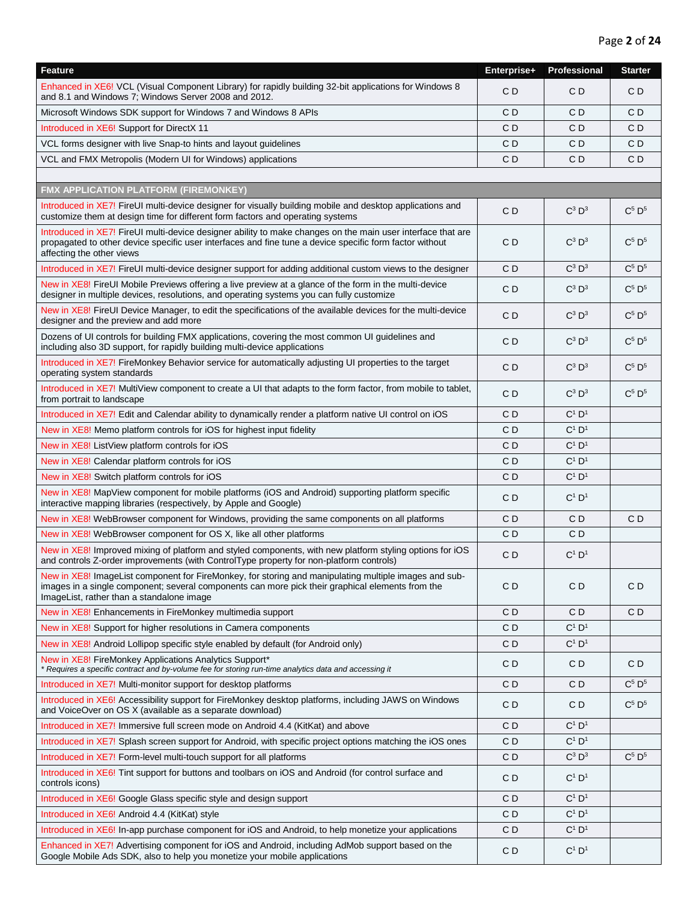| <b>Feature</b>                                                                                                                                                                                                                                         | Enterprise+    | Professional         | <b>Starter</b> |
|--------------------------------------------------------------------------------------------------------------------------------------------------------------------------------------------------------------------------------------------------------|----------------|----------------------|----------------|
| Enhanced in XE6! VCL (Visual Component Library) for rapidly building 32-bit applications for Windows 8<br>and 8.1 and Windows 7; Windows Server 2008 and 2012.                                                                                         | CD             | CD                   | CD             |
| Microsoft Windows SDK support for Windows 7 and Windows 8 APIs                                                                                                                                                                                         | C <sub>D</sub> | C <sub>D</sub>       | CD             |
| Introduced in XE6! Support for DirectX 11                                                                                                                                                                                                              | C D            | C D                  | C D            |
| VCL forms designer with live Snap-to hints and layout guidelines                                                                                                                                                                                       | CD             | C D                  | C D            |
| VCL and FMX Metropolis (Modern UI for Windows) applications                                                                                                                                                                                            | CD             | CD                   | CD             |
|                                                                                                                                                                                                                                                        |                |                      |                |
| FMX APPLICATION PLATFORM (FIREMONKEY)                                                                                                                                                                                                                  |                |                      |                |
| Introduced in XE7! FireUI multi-device designer for visually building mobile and desktop applications and<br>customize them at design time for different form factors and operating systems                                                            | C <sub>D</sub> | $C^3$ $D^3$          | $C^5$ $D^5$    |
| Introduced in XE7! FireUI multi-device designer ability to make changes on the main user interface that are<br>propagated to other device specific user interfaces and fine tune a device specific form factor without<br>affecting the other views    | C D            | $C^3$ $D^3$          | $C^5$ $D^5$    |
| Introduced in XE7! FireUI multi-device designer support for adding additional custom views to the designer                                                                                                                                             | C <sub>D</sub> | $C^3$ $D^3$          | $C^5$ $D^5$    |
| New in XE8! FireUI Mobile Previews offering a live preview at a glance of the form in the multi-device<br>designer in multiple devices, resolutions, and operating systems you can fully customize                                                     | C <sub>D</sub> | $C^3$ $D^3$          | $C^5$ $D^5$    |
| New in XE8! FireUI Device Manager, to edit the specifications of the available devices for the multi-device<br>designer and the preview and add more                                                                                                   | C <sub>D</sub> | $C^3$ $D^3$          | $C^5$ $D^5$    |
| Dozens of UI controls for building FMX applications, covering the most common UI guidelines and<br>including also 3D support, for rapidly building multi-device applications                                                                           | C <sub>D</sub> | $C^3$ $D^3$          | $C^5$ $D^5$    |
| Introduced in XE7! FireMonkey Behavior service for automatically adjusting UI properties to the target<br>operating system standards                                                                                                                   | CD             | $C^3$ $D^3$          | $C^5$ $D^5$    |
| Introduced in XE7! MultiView component to create a UI that adapts to the form factor, from mobile to tablet,<br>from portrait to landscape                                                                                                             | C <sub>D</sub> | $C^3$ $D^3$          | $C^5$ $D^5$    |
| Introduced in XE7! Edit and Calendar ability to dynamically render a platform native UI control on iOS                                                                                                                                                 | CD             | $C^1$ $D^1$          |                |
| New in XE8! Memo platform controls for iOS for highest input fidelity                                                                                                                                                                                  | CD             | $C^1$ D <sup>1</sup> |                |
| New in XE8! ListView platform controls for iOS                                                                                                                                                                                                         | CD             | $C^1$ $D^1$          |                |
| New in XE8! Calendar platform controls for iOS                                                                                                                                                                                                         | CD             | $C^1$ $D^1$          |                |
| New in XE8! Switch platform controls for iOS                                                                                                                                                                                                           | C <sub>D</sub> | $C^1$ $D^1$          |                |
| New in XE8! MapView component for mobile platforms (iOS and Android) supporting platform specific<br>interactive mapping libraries (respectively, by Apple and Google)                                                                                 | CD             | $C^1$ $D^1$          |                |
| New in XE8! WebBrowser component for Windows, providing the same components on all platforms                                                                                                                                                           | CD             | C <sub>D</sub>       | C <sub>D</sub> |
| New in XE8! WebBrowser component for OS X, like all other platforms                                                                                                                                                                                    | C D            | CD                   |                |
| New in XE8! Improved mixing of platform and styled components, with new platform styling options for iOS<br>and controls Z-order improvements (with ControlType property for non-platform controls)                                                    | CD             | $C^1$ $D^1$          |                |
| New in XE8! ImageList component for FireMonkey, for storing and manipulating multiple images and sub-<br>images in a single component; several components can more pick their graphical elements from the<br>ImageList, rather than a standalone image | C <sub>D</sub> | CD                   | CD             |
| New in XE8! Enhancements in FireMonkey multimedia support                                                                                                                                                                                              | CD             | CD.                  | CD             |
| New in XE8! Support for higher resolutions in Camera components                                                                                                                                                                                        | CD             | $C^1$ $D^1$          |                |
| New in XE8! Android Lollipop specific style enabled by default (for Android only)                                                                                                                                                                      | CD             | $C^1$ $D^1$          |                |
| New in XE8! FireMonkey Applications Analytics Support*<br>* Requires a specific contract and by-volume fee for storing run-time analytics data and accessing it                                                                                        | CD             | CD                   | CD             |
| Introduced in XE7! Multi-monitor support for desktop platforms                                                                                                                                                                                         | C <sub>D</sub> | C D                  | $C^5$ $D^5$    |
| Introduced in XE6! Accessibility support for FireMonkey desktop platforms, including JAWS on Windows<br>and VoiceOver on OS X (available as a separate download)                                                                                       | CD             | CD                   | $C^5$ $D^5$    |
| Introduced in XE7! Immersive full screen mode on Android 4.4 (KitKat) and above                                                                                                                                                                        | C D            | $C^1$ $D^1$          |                |
| Introduced in XE7! Splash screen support for Android, with specific project options matching the iOS ones                                                                                                                                              | C D            | $C^1$ $D^1$          |                |
| Introduced in XE7! Form-level multi-touch support for all platforms                                                                                                                                                                                    | CD             | $C^3$ $D^3$          | $C^5$ $D^5$    |
| Introduced in XE6! Tint support for buttons and toolbars on iOS and Android (for control surface and<br>controls icons)                                                                                                                                | CD             | $C^1$ $D^1$          |                |
| Introduced in XE6! Google Glass specific style and design support                                                                                                                                                                                      | CD             | $C^1$ $D^1$          |                |
| Introduced in XE6! Android 4.4 (KitKat) style                                                                                                                                                                                                          | C D            | $C^1$ $D^1$          |                |
| Introduced in XE6! In-app purchase component for iOS and Android, to help monetize your applications                                                                                                                                                   | CD             | $C^1$ $D^1$          |                |
| Enhanced in XE7! Advertising component for iOS and Android, including AdMob support based on the<br>Google Mobile Ads SDK, also to help you monetize your mobile applications                                                                          | CD             | $C^1$ $D^1$          |                |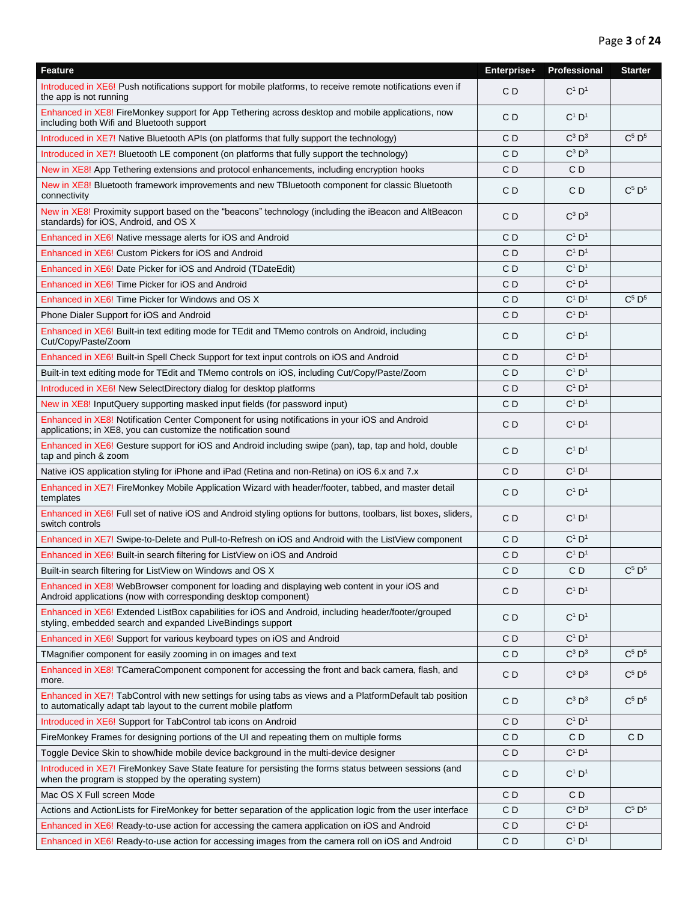| <b>Feature</b>                                                                                                                                                               | Enterprise+ | Professional                  | <b>Starter</b>                |
|------------------------------------------------------------------------------------------------------------------------------------------------------------------------------|-------------|-------------------------------|-------------------------------|
| Introduced in XE6! Push notifications support for mobile platforms, to receive remote notifications even if<br>the app is not running                                        | CD          | $C^1$ $D^1$                   |                               |
| Enhanced in XE8! FireMonkey support for App Tethering across desktop and mobile applications, now<br>including both Wifi and Bluetooth support                               | C D         | $C^1$ $D^1$                   |                               |
| Introduced in XE7! Native Bluetooth APIs (on platforms that fully support the technology)                                                                                    | C D         | $C^3$ $D^3$                   | $C^5$ $D^5$                   |
| Introduced in XE7! Bluetooth LE component (on platforms that fully support the technology)                                                                                   | CD          | $C^3$ $D^3$                   |                               |
| New in XE8! App Tethering extensions and protocol enhancements, including encryption hooks                                                                                   | CD          | CD                            |                               |
| New in XE8! Bluetooth framework improvements and new TBluetooth component for classic Bluetooth<br>connectivity                                                              | CD          | CD                            | $C^5$ $D^5$                   |
| New in XE8! Proximity support based on the "beacons" technology (including the iBeacon and AltBeacon<br>standards) for iOS, Android, and OS X                                | C D         | $C^3$ $D^3$                   |                               |
| Enhanced in XE6! Native message alerts for iOS and Android                                                                                                                   | C D         | $C^1$ $D^1$                   |                               |
| Enhanced in XE6! Custom Pickers for iOS and Android                                                                                                                          | C D         | $C^1$ $D^1$                   |                               |
| Enhanced in XE6! Date Picker for iOS and Android (TDateEdit)                                                                                                                 | C D         | $C^1$ $D^1$                   |                               |
| Enhanced in XE6! Time Picker for iOS and Android                                                                                                                             | СD          | $C^1$ $D^1$                   |                               |
| Enhanced in XE6! Time Picker for Windows and OS X                                                                                                                            | CD          | $C^1$ $D^1$                   | $C^5$ $D^5$                   |
| Phone Dialer Support for iOS and Android                                                                                                                                     | CD          | $C^1$ $D^1$                   |                               |
| Enhanced in XE6! Built-in text editing mode for TEdit and TMemo controls on Android, including<br>Cut/Copy/Paste/Zoom                                                        | C D         | $C^1$ $D^1$                   |                               |
| Enhanced in XE6! Built-in Spell Check Support for text input controls on iOS and Android                                                                                     | C D         | $C^1$ $D^1$                   |                               |
| Built-in text editing mode for TEdit and TMemo controls on iOS, including Cut/Copy/Paste/Zoom                                                                                | CD          | $C^1$ $D^1$                   |                               |
| Introduced in XE6! New SelectDirectory dialog for desktop platforms                                                                                                          | CD          | $C^1$ $D^1$                   |                               |
| New in XE8! InputQuery supporting masked input fields (for password input)                                                                                                   | CD          | $C^1$ $D^1$                   |                               |
| Enhanced in XE8! Notification Center Component for using notifications in your iOS and Android<br>applications; in XE8, you can customize the notification sound             | CD          | $C^1$ $D^1$                   |                               |
| Enhanced in XE6! Gesture support for iOS and Android including swipe (pan), tap, tap and hold, double<br>tap and pinch & zoom                                                | CD          | $C^1$ $D^1$                   |                               |
| Native iOS application styling for iPhone and iPad (Retina and non-Retina) on iOS 6.x and 7.x                                                                                | CD          | $C^1$ $D^1$                   |                               |
| Enhanced in XE7! FireMonkey Mobile Application Wizard with header/footer, tabbed, and master detail<br>templates                                                             | CD          | $C^1$ $D^1$                   |                               |
| Enhanced in XE6! Full set of native iOS and Android styling options for buttons, toolbars, list boxes, sliders,<br>switch controls                                           | CD          | $C^1$ $D^1$                   |                               |
| Enhanced in XE7! Swipe-to-Delete and Pull-to-Refresh on iOS and Android with the ListView component                                                                          | CD          | $C^1$ $D^1$                   |                               |
| Enhanced in XE6! Built-in search filtering for ListView on iOS and Android                                                                                                   | CD          | $C^1$ $D^1$                   |                               |
| Built-in search filtering for ListView on Windows and OS X                                                                                                                   | C D         | C D                           | C <sup>5</sup> D <sup>5</sup> |
| Enhanced in XE8! WebBrowser component for loading and displaying web content in your iOS and<br>Android applications (now with corresponding desktop component)              | CD          | $C^1$ $D^1$                   |                               |
| Enhanced in XE6! Extended ListBox capabilities for iOS and Android, including header/footer/grouped<br>styling, embedded search and expanded LiveBindings support            | CD          | $C^1$ $D^1$                   |                               |
| Enhanced in XE6! Support for various keyboard types on iOS and Android                                                                                                       | CD          | $C^1$ $D^1$                   |                               |
| TMagnifier component for easily zooming in on images and text                                                                                                                | C D         | $C^3$ $D^3$                   | $C^5$ $D^5$                   |
| Enhanced in XE8! TCameraComponent component for accessing the front and back camera, flash, and<br>more.                                                                     | C D         | $C^3$ $D^3$                   | $C^5$ $D^5$                   |
| Enhanced in XE7! TabControl with new settings for using tabs as views and a PlatformDefault tab position<br>to automatically adapt tab layout to the current mobile platform | C D         | $C^3$ $D^3$                   | $C^5$ $D^5$                   |
| Introduced in XE6! Support for TabControl tab icons on Android                                                                                                               | C D         | $C^1$ $D^1$                   |                               |
| FireMonkey Frames for designing portions of the UI and repeating them on multiple forms                                                                                      | CD          | CD                            | CD                            |
| Toggle Device Skin to show/hide mobile device background in the multi-device designer                                                                                        | C D         | $\mathbf{C}^1$ $\mathbf{D}^1$ |                               |
| Introduced in XE7! FireMonkey Save State feature for persisting the forms status between sessions (and<br>when the program is stopped by the operating system)               | C D         | $C^1$ $D^1$                   |                               |
| Mac OS X Full screen Mode                                                                                                                                                    | CD          | C D                           |                               |
| Actions and ActionLists for FireMonkey for better separation of the application logic from the user interface                                                                | C D         | $C^3$ $D^3$                   | $C^5$ $D^5$                   |
| Enhanced in XE6! Ready-to-use action for accessing the camera application on iOS and Android                                                                                 | C D         | $C^1$ $D^1$                   |                               |
| Enhanced in XE6! Ready-to-use action for accessing images from the camera roll on iOS and Android                                                                            | CD          | $C^1$ $D^1$                   |                               |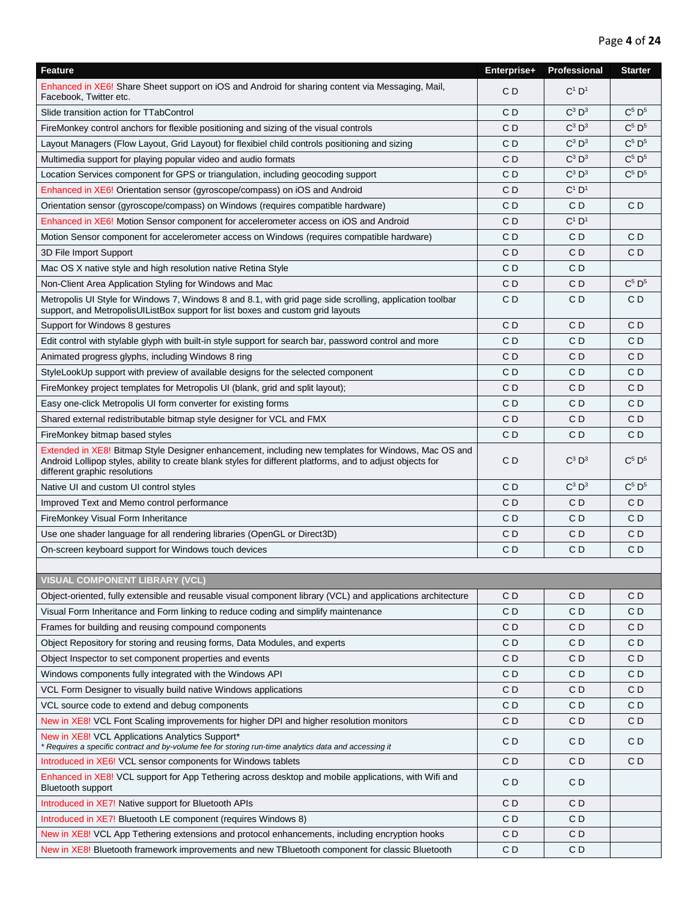| Feature                                                                                                                                                                                                                                            | Enterprise+ | Professional | <b>Starter</b> |
|----------------------------------------------------------------------------------------------------------------------------------------------------------------------------------------------------------------------------------------------------|-------------|--------------|----------------|
| Enhanced in XE6! Share Sheet support on iOS and Android for sharing content via Messaging, Mail,<br>Facebook, Twitter etc.                                                                                                                         | CD          | $C^1$ $D^1$  |                |
| Slide transition action for TTabControl                                                                                                                                                                                                            | C D         | $C^3$ $D^3$  | $C^5$ $D^5$    |
| FireMonkey control anchors for flexible positioning and sizing of the visual controls                                                                                                                                                              | C D         | $C^3$ $D^3$  | $C^5$ $D^5$    |
| Layout Managers (Flow Layout, Grid Layout) for flexibiel child controls positioning and sizing                                                                                                                                                     | C D         | $C^3$ $D^3$  | $C^5$ $D^5$    |
| Multimedia support for playing popular video and audio formats                                                                                                                                                                                     | СD          | $C^3$ $D^3$  | $C^5$ $D^5$    |
| Location Services component for GPS or triangulation, including geocoding support                                                                                                                                                                  | СD          | $C^3$ $D^3$  | $C^5$ $D^5$    |
| Enhanced in XE6! Orientation sensor (gyroscope/compass) on iOS and Android                                                                                                                                                                         | CD          | $C^1$ $D^1$  |                |
| Orientation sensor (gyroscope/compass) on Windows (requires compatible hardware)                                                                                                                                                                   | СD          | CD           | CD             |
| Enhanced in XE6! Motion Sensor component for accelerometer access on iOS and Android                                                                                                                                                               | СD          | $C^1$ $D^1$  |                |
| Motion Sensor component for accelerometer access on Windows (requires compatible hardware)                                                                                                                                                         | C D         | CD           | C D            |
| 3D File Import Support                                                                                                                                                                                                                             | C D         | C D          | CD             |
| Mac OS X native style and high resolution native Retina Style                                                                                                                                                                                      | СD          | C D          |                |
| Non-Client Area Application Styling for Windows and Mac                                                                                                                                                                                            | C D         | CD           | $C^5$ $D^5$    |
| Metropolis UI Style for Windows 7, Windows 8 and 8.1, with grid page side scrolling, application toolbar<br>support, and MetropolisUIListBox support for list boxes and custom grid layouts                                                        | CD          | CD           | CD             |
| Support for Windows 8 gestures                                                                                                                                                                                                                     | C D         | CD           | СD             |
| Edit control with stylable glyph with built-in style support for search bar, password control and more                                                                                                                                             | C D         | C D          | СD             |
| Animated progress glyphs, including Windows 8 ring                                                                                                                                                                                                 | СD          | C D          | СD             |
| StyleLookUp support with preview of available designs for the selected component                                                                                                                                                                   | СD          | C D          | CD             |
| FireMonkey project templates for Metropolis UI (blank, grid and split layout);                                                                                                                                                                     | СD          | C D          | CD             |
| Easy one-click Metropolis UI form converter for existing forms                                                                                                                                                                                     | СD          | C D          | CD             |
| Shared external redistributable bitmap style designer for VCL and FMX                                                                                                                                                                              | CD          | CD           | CD             |
| FireMonkey bitmap based styles                                                                                                                                                                                                                     | C D         | CD           | C D            |
| Extended in XE8! Bitmap Style Designer enhancement, including new templates for Windows, Mac OS and<br>Android Lollipop styles, ability to create blank styles for different platforms, and to adjust objects for<br>different graphic resolutions | СD          | $C^3$ $D^3$  | $C^5$ $D^5$    |
| Native UI and custom UI control styles                                                                                                                                                                                                             | СD          | $C^3$ $D^3$  | $C^5$ $D^5$    |
| Improved Text and Memo control performance                                                                                                                                                                                                         | СD          | C D          | CD             |
| FireMonkey Visual Form Inheritance                                                                                                                                                                                                                 | CD          | CD           | CD             |
| Use one shader language for all rendering libraries (OpenGL or Direct3D)                                                                                                                                                                           | СD          | C D          | CD             |
| On-screen keyboard support for Windows touch devices                                                                                                                                                                                               | СD          | C D          | СD             |
|                                                                                                                                                                                                                                                    |             |              |                |
| <b>VISUAL COMPONENT LIBRARY (VCL)</b>                                                                                                                                                                                                              |             |              |                |
| Object-oriented, fully extensible and reusable visual component library (VCL) and applications architecture                                                                                                                                        | СD          | C D          | C D            |
| Visual Form Inheritance and Form linking to reduce coding and simplify maintenance                                                                                                                                                                 | CD          | CD           | CD             |
| Frames for building and reusing compound components                                                                                                                                                                                                | C D         | CD           | CD             |
| Object Repository for storing and reusing forms, Data Modules, and experts                                                                                                                                                                         | C D         | C D          | C D            |
| Object Inspector to set component properties and events                                                                                                                                                                                            | C D         | C D          | C D            |
| Windows components fully integrated with the Windows API                                                                                                                                                                                           | C D         | C D          | C D            |
| VCL Form Designer to visually build native Windows applications                                                                                                                                                                                    | C D         | C D          | CD             |
| VCL source code to extend and debug components                                                                                                                                                                                                     | C D         | C D          | C D            |
| New in XE8! VCL Font Scaling improvements for higher DPI and higher resolution monitors                                                                                                                                                            | C D         | CD.          | CD             |
| New in XE8! VCL Applications Analytics Support*<br>* Requires a specific contract and by-volume fee for storing run-time analytics data and accessing it                                                                                           | C D         | C D          | C D            |
| Introduced in XE6! VCL sensor components for Windows tablets                                                                                                                                                                                       | C D         | C D          | C D            |
| Enhanced in XE8! VCL support for App Tethering across desktop and mobile applications, with Wifi and<br><b>Bluetooth support</b>                                                                                                                   | C D         | C D          |                |
| Introduced in XE7! Native support for Bluetooth APIs                                                                                                                                                                                               | C D         | CD           |                |
| Introduced in XE7! Bluetooth LE component (requires Windows 8)                                                                                                                                                                                     | CD          | CD           |                |
| New in XE8! VCL App Tethering extensions and protocol enhancements, including encryption hooks                                                                                                                                                     | CD          | CD           |                |
| New in XE8! Bluetooth framework improvements and new TBluetooth component for classic Bluetooth                                                                                                                                                    | CD          | CD           |                |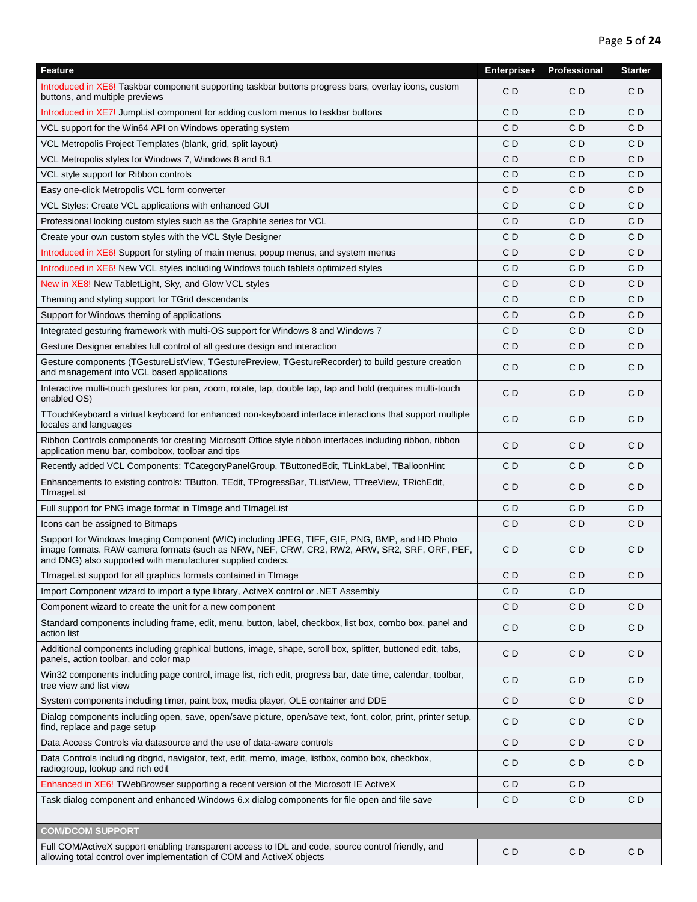| Feature                                                                                                                                                                                                                                                     | Enterprise+    | Professional   | <b>Starter</b> |
|-------------------------------------------------------------------------------------------------------------------------------------------------------------------------------------------------------------------------------------------------------------|----------------|----------------|----------------|
| Introduced in XE6! Taskbar component supporting taskbar buttons progress bars, overlay icons, custom<br>buttons, and multiple previews                                                                                                                      | CD             | CD             | CD             |
| Introduced in XE7! JumpList component for adding custom menus to taskbar buttons                                                                                                                                                                            | C <sub>D</sub> | C <sub>D</sub> | C <sub>D</sub> |
| VCL support for the Win64 API on Windows operating system                                                                                                                                                                                                   | CD             | CD             | CD             |
| VCL Metropolis Project Templates (blank, grid, split layout)                                                                                                                                                                                                | C D            | CD             | CD             |
| VCL Metropolis styles for Windows 7, Windows 8 and 8.1                                                                                                                                                                                                      | CD             | CD             | CD             |
| VCL style support for Ribbon controls                                                                                                                                                                                                                       | CD             | CD             | CD             |
| Easy one-click Metropolis VCL form converter                                                                                                                                                                                                                | CD             | CD             | CD             |
| VCL Styles: Create VCL applications with enhanced GUI                                                                                                                                                                                                       | C D            | CD             | CD             |
| Professional looking custom styles such as the Graphite series for VCL                                                                                                                                                                                      | CD             | CD             | C <sub>D</sub> |
| Create your own custom styles with the VCL Style Designer                                                                                                                                                                                                   | CD             | CD             | CD             |
| Introduced in XE6! Support for styling of main menus, popup menus, and system menus                                                                                                                                                                         | CD             | C <sub>D</sub> | CD             |
| Introduced in XE6! New VCL styles including Windows touch tablets optimized styles                                                                                                                                                                          | СD             | CD             | C D            |
| New in XE8! New TabletLight, Sky, and Glow VCL styles                                                                                                                                                                                                       | CD             | CD             | CD             |
| Theming and styling support for TGrid descendants                                                                                                                                                                                                           | C D            | CD             | CD             |
| Support for Windows theming of applications                                                                                                                                                                                                                 | CD             | CD             | CD             |
| Integrated gesturing framework with multi-OS support for Windows 8 and Windows 7                                                                                                                                                                            | CD             | CD             | C <sub>D</sub> |
| Gesture Designer enables full control of all gesture design and interaction                                                                                                                                                                                 | CD             | CD             | CD             |
| Gesture components (TGestureListView, TGesturePreview, TGestureRecorder) to build gesture creation<br>and management into VCL based applications                                                                                                            | CD             | CD             | CD             |
| Interactive multi-touch gestures for pan, zoom, rotate, tap, double tap, tap and hold (requires multi-touch<br>enabled OS)                                                                                                                                  | C <sub>D</sub> | C <sub>D</sub> | CD             |
| TTouchKeyboard a virtual keyboard for enhanced non-keyboard interface interactions that support multiple<br>locales and languages                                                                                                                           | CD             | CD             | CD             |
| Ribbon Controls components for creating Microsoft Office style ribbon interfaces including ribbon, ribbon<br>application menu bar, combobox, toolbar and tips                                                                                               | C <sub>D</sub> | CD             | CD             |
| Recently added VCL Components: TCategoryPanelGroup, TButtonedEdit, TLinkLabel, TBalloonHint                                                                                                                                                                 | C <sub>D</sub> | C <sub>D</sub> | C <sub>D</sub> |
| Enhancements to existing controls: TButton, TEdit, TProgressBar, TListView, TTreeView, TRichEdit,<br>TImageList                                                                                                                                             | CD             | CD             | CD             |
| Full support for PNG image format in TImage and TImageList                                                                                                                                                                                                  | C D            | CD             | CD             |
| Icons can be assigned to Bitmaps                                                                                                                                                                                                                            | CD             | CD             | CD             |
| Support for Windows Imaging Component (WIC) including JPEG, TIFF, GIF, PNG, BMP, and HD Photo<br>image formats. RAW camera formats (such as NRW, NEF, CRW, CR2, RW2, ARW, SR2, SRF, ORF, PEF,<br>and DNG) also supported with manufacturer supplied codecs. | C D            | C D            | C <sub>D</sub> |
| TImageList support for all graphics formats contained in TImage                                                                                                                                                                                             | CD             | CD             | CD             |
| Import Component wizard to import a type library, ActiveX control or .NET Assembly                                                                                                                                                                          | CD             | C <sub>D</sub> |                |
| Component wizard to create the unit for a new component                                                                                                                                                                                                     | CD             | CD             | CD             |
| Standard components including frame, edit, menu, button, label, checkbox, list box, combo box, panel and<br>action list                                                                                                                                     | CD             | CD             | CD             |
| Additional components including graphical buttons, image, shape, scroll box, splitter, buttoned edit, tabs,<br>panels, action toolbar, and color map                                                                                                        | CD             | CD             | C <sub>D</sub> |
| Win32 components including page control, image list, rich edit, progress bar, date time, calendar, toolbar,<br>tree view and list view                                                                                                                      | CD             | CD             | C <sub>D</sub> |
| System components including timer, paint box, media player, OLE container and DDE                                                                                                                                                                           | C <sub>D</sub> | CD             | CD             |
| Dialog components including open, save, open/save picture, open/save text, font, color, print, printer setup,<br>find, replace and page setup                                                                                                               | CD             | CD             | CD             |
| Data Access Controls via datasource and the use of data-aware controls                                                                                                                                                                                      | C <sub>D</sub> | CD             | CD             |
| Data Controls including dbgrid, navigator, text, edit, memo, image, listbox, combo box, checkbox,<br>radiogroup, lookup and rich edit                                                                                                                       | CD             | CD             | CD             |
| Enhanced in XE6! TWebBrowser supporting a recent version of the Microsoft IE ActiveX                                                                                                                                                                        | CD             | CD             |                |
| Task dialog component and enhanced Windows 6.x dialog components for file open and file save                                                                                                                                                                | CD             | C <sub>D</sub> | CD             |
|                                                                                                                                                                                                                                                             |                |                |                |
| <b>COM/DCOM SUPPORT</b>                                                                                                                                                                                                                                     |                |                |                |
| Full COM/ActiveX support enabling transparent access to IDL and code, source control friendly, and<br>allowing total control over implementation of COM and ActiveX objects                                                                                 | CD             | CD             | CD             |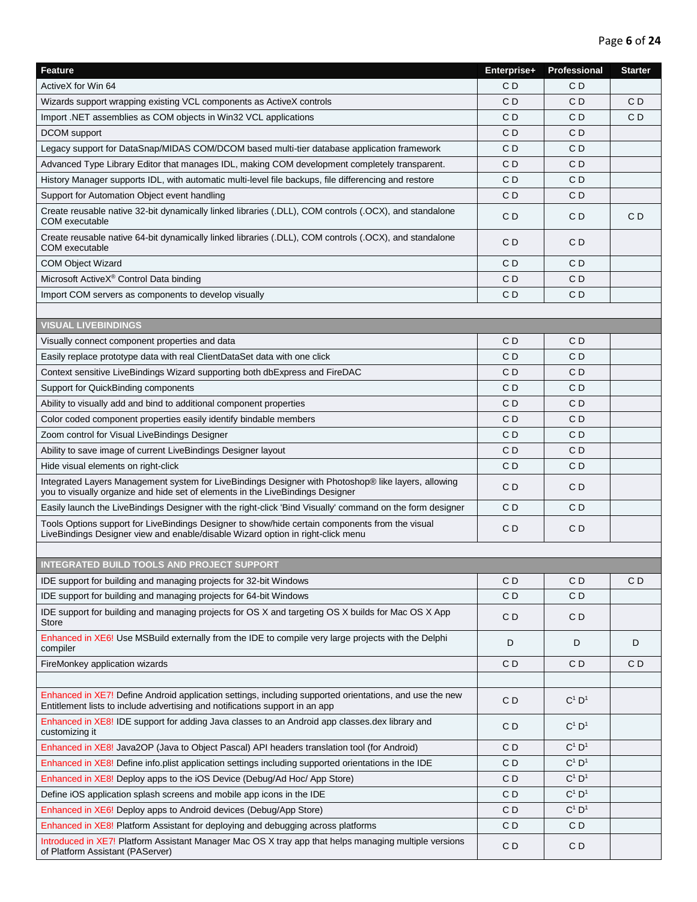| Feature                                                                                                                                                                                 | Enterprise+    | Professional   | <b>Starter</b> |
|-----------------------------------------------------------------------------------------------------------------------------------------------------------------------------------------|----------------|----------------|----------------|
| ActiveX for Win 64                                                                                                                                                                      | C <sub>D</sub> | CD             |                |
| Wizards support wrapping existing VCL components as ActiveX controls                                                                                                                    | C D            | CD             | CD             |
| Import .NET assemblies as COM objects in Win32 VCL applications                                                                                                                         | C D            | CD             | C <sub>D</sub> |
| DCOM support                                                                                                                                                                            | CD             | CD             |                |
| Legacy support for DataSnap/MIDAS COM/DCOM based multi-tier database application framework                                                                                              | C <sub>D</sub> | C <sub>D</sub> |                |
| Advanced Type Library Editor that manages IDL, making COM development completely transparent.                                                                                           | C <sub>D</sub> | C <sub>D</sub> |                |
| History Manager supports IDL, with automatic multi-level file backups, file differencing and restore                                                                                    | CD             | C <sub>D</sub> |                |
| Support for Automation Object event handling                                                                                                                                            | C <sub>D</sub> | CD             |                |
| Create reusable native 32-bit dynamically linked libraries (.DLL), COM controls (.OCX), and standalone<br><b>COM</b> executable                                                         | CD             | CD             | C <sub>D</sub> |
| Create reusable native 64-bit dynamically linked libraries (.DLL), COM controls (.OCX), and standalone<br><b>COM</b> executable                                                         | CD             | CD             |                |
| <b>COM Object Wizard</b>                                                                                                                                                                | C <sub>D</sub> | C <sub>D</sub> |                |
| Microsoft ActiveX® Control Data binding                                                                                                                                                 | C <sub>D</sub> | CD             |                |
| Import COM servers as components to develop visually                                                                                                                                    | C <sub>D</sub> | C <sub>D</sub> |                |
|                                                                                                                                                                                         |                |                |                |
| <b>VISUAL LIVEBINDINGS</b>                                                                                                                                                              |                |                |                |
| Visually connect component properties and data                                                                                                                                          | CD             | CD             |                |
| Easily replace prototype data with real ClientDataSet data with one click                                                                                                               | C D            | CD             |                |
| Context sensitive LiveBindings Wizard supporting both dbExpress and FireDAC                                                                                                             | CD             | CD             |                |
| Support for QuickBinding components                                                                                                                                                     | C <sub>D</sub> | C <sub>D</sub> |                |
| Ability to visually add and bind to additional component properties                                                                                                                     | C <sub>D</sub> | C <sub>D</sub> |                |
| Color coded component properties easily identify bindable members                                                                                                                       | C <sub>D</sub> | C <sub>D</sub> |                |
| Zoom control for Visual LiveBindings Designer                                                                                                                                           | CD             | C <sub>D</sub> |                |
| Ability to save image of current LiveBindings Designer layout                                                                                                                           | CD             | CD             |                |
| Hide visual elements on right-click                                                                                                                                                     | CD             | CD             |                |
| Integrated Layers Management system for LiveBindings Designer with Photoshop® like layers, allowing<br>you to visually organize and hide set of elements in the LiveBindings Designer   | CD             | CD             |                |
| Easily launch the LiveBindings Designer with the right-click 'Bind Visually' command on the form designer                                                                               | C <sub>D</sub> | C <sub>D</sub> |                |
| Tools Options support for LiveBindings Designer to show/hide certain components from the visual<br>LiveBindings Designer view and enable/disable Wizard option in right-click menu      | C <sub>D</sub> | CD             |                |
|                                                                                                                                                                                         |                |                |                |
| <b>INTEGRATED BUILD TOOLS AND PROJECT SUPPORT</b>                                                                                                                                       |                |                |                |
| IDE support for building and managing projects for 32-bit Windows                                                                                                                       | C <sub>D</sub> | C <sub>D</sub> | C <sub>D</sub> |
| IDE support for building and managing projects for 64-bit Windows                                                                                                                       | C <sub>D</sub> | CD             |                |
| IDE support for building and managing projects for OS X and targeting OS X builds for Mac OS X App<br>Store                                                                             | C <sub>D</sub> | CD             |                |
| Enhanced in XE6! Use MSBuild externally from the IDE to compile very large projects with the Delphi<br>compiler                                                                         | D              | D              | D              |
| FireMonkey application wizards                                                                                                                                                          | CD             | CD             | C <sub>D</sub> |
|                                                                                                                                                                                         |                |                |                |
| Enhanced in XE7! Define Android application settings, including supported orientations, and use the new<br>Entitlement lists to include advertising and notifications support in an app | C <sub>D</sub> | $C^1$ $D^1$    |                |
| Enhanced in XE8! IDE support for adding Java classes to an Android app classes.dex library and<br>customizing it                                                                        | C <sub>D</sub> | $C^1$ $D^1$    |                |
| Enhanced in XE8! Java2OP (Java to Object Pascal) API headers translation tool (for Android)                                                                                             | C D            | $C^1$ $D^1$    |                |
| Enhanced in XE8! Define info.plist application settings including supported orientations in the IDE                                                                                     | C D            | $C^1$ $D^1$    |                |
| Enhanced in XE8! Deploy apps to the iOS Device (Debug/Ad Hoc/ App Store)                                                                                                                | CD             | $C^1$ $D^1$    |                |
| Define iOS application splash screens and mobile app icons in the IDE                                                                                                                   | CD             | $C^1$ $D^1$    |                |
| Enhanced in XE6! Deploy apps to Android devices (Debug/App Store)                                                                                                                       | C <sub>D</sub> | $C^1$ $D^1$    |                |
| Enhanced in XE8! Platform Assistant for deploying and debugging across platforms                                                                                                        | C <sub>D</sub> | CD             |                |
| Introduced in XE7! Platform Assistant Manager Mac OS X tray app that helps managing multiple versions<br>of Platform Assistant (PAServer)                                               | CD             | CD             |                |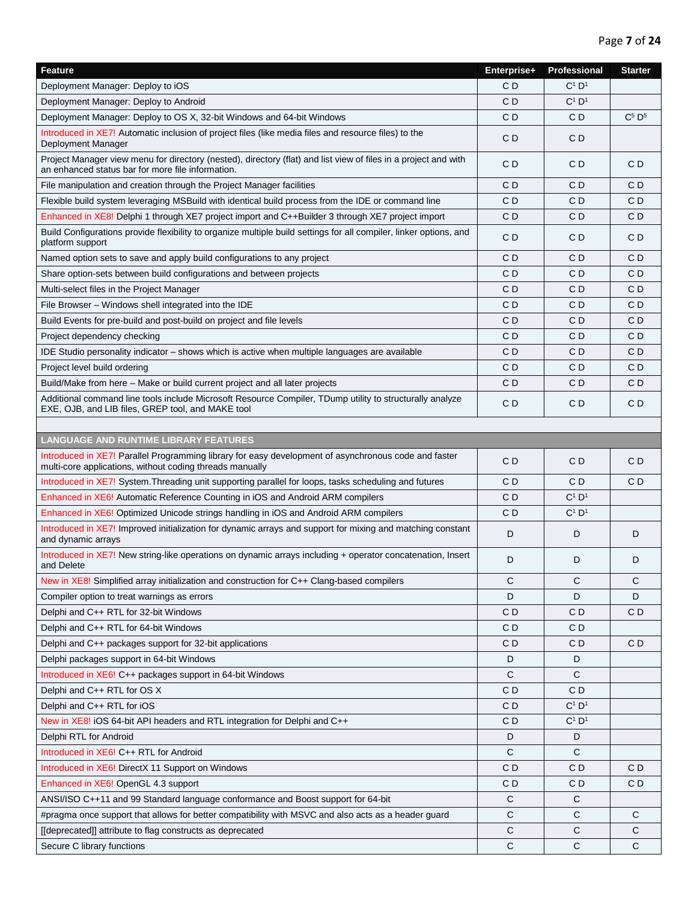| Feature                                                                                                                                                              | Enterprise+ | Professional         | <b>Starter</b> |
|----------------------------------------------------------------------------------------------------------------------------------------------------------------------|-------------|----------------------|----------------|
| Deployment Manager: Deploy to iOS                                                                                                                                    | CD          | $C^1$ D <sup>1</sup> |                |
| Deployment Manager: Deploy to Android                                                                                                                                | CD          | $C^1$ $D^1$          |                |
| Deployment Manager: Deploy to OS X, 32-bit Windows and 64-bit Windows                                                                                                | C D         | CD                   | $C^5$ $D^5$    |
| Introduced in XE7! Automatic inclusion of project files (like media files and resource files) to the<br>Deployment Manager                                           | СD          | CD                   |                |
| Project Manager view menu for directory (nested), directory (flat) and list view of files in a project and with<br>an enhanced status bar for more file information. | C D         | C D                  | C D            |
| File manipulation and creation through the Project Manager facilities                                                                                                | CD          | C D                  | CD             |
| Flexible build system leveraging MSBuild with identical build process from the IDE or command line                                                                   | CD          | CD                   | CD             |
| Enhanced in XE8! Delphi 1 through XE7 project import and C++Builder 3 through XE7 project import                                                                     | C D         | CD.                  | C D            |
| Build Configurations provide flexibility to organize multiple build settings for all compiler, linker options, and<br>platform support                               | СD          | C D                  | CD             |
| Named option sets to save and apply build configurations to any project                                                                                              | CD          | C D                  | СD             |
| Share option-sets between build configurations and between projects                                                                                                  | CD          | C D                  | CD             |
| Multi-select files in the Project Manager                                                                                                                            | C D         | C D                  | CD             |
| File Browser - Windows shell integrated into the IDE                                                                                                                 | C D         | C D                  | C D            |
| Build Events for pre-build and post-build on project and file levels                                                                                                 | CD          | CD                   | CD             |
| Project dependency checking                                                                                                                                          | СD          | C D                  | C D            |
| IDE Studio personality indicator – shows which is active when multiple languages are available                                                                       | СD          | C D                  | C D            |
| Project level build ordering                                                                                                                                         | C D         | C D                  | C D            |
| Build/Make from here – Make or build current project and all later projects                                                                                          | CD          | C D                  | CD             |
| Additional command line tools include Microsoft Resource Compiler, TDump utility to structurally analyze<br>EXE, OJB, and LIB files, GREP tool, and MAKE tool        | CD          | CD                   | CD             |
|                                                                                                                                                                      |             |                      |                |
| <b>LANGUAGE AND RUNTIME LIBRARY FEATURES</b>                                                                                                                         |             |                      |                |
| Introduced in XE7! Parallel Programming library for easy development of asynchronous code and faster<br>multi-core applications, without coding threads manually     | CD          | CD                   | CD             |
| Introduced in XE7! System. Threading unit supporting parallel for loops, tasks scheduling and futures                                                                | CD          | CD                   | C <sub>D</sub> |
| Enhanced in XE6! Automatic Reference Counting in iOS and Android ARM compilers                                                                                       | CD          | $C^1$ $D^1$          |                |
| Enhanced in XE6! Optimized Unicode strings handling in iOS and Android ARM compilers                                                                                 | CD          | $C^1$ $D^1$          |                |
| Introduced in XE7! Improved initialization for dynamic arrays and support for mixing and matching constant<br>and dynamic arrays                                     | D           | D                    | D              |
| Introduced in XE7! New string-like operations on dynamic arrays including + operator concatenation, Insert<br>and Delete                                             | D           | D                    | D              |
| New in XE8! Simplified array initialization and construction for C++ Clang-based compilers                                                                           | С           | С                    | С              |
| Compiler option to treat warnings as errors                                                                                                                          | D           | D                    | D              |
| Delphi and C++ RTL for 32-bit Windows                                                                                                                                | CD          | C D                  | C <sub>D</sub> |
| Delphi and C++ RTL for 64-bit Windows                                                                                                                                | CD          | CD                   |                |
| Delphi and C++ packages support for 32-bit applications                                                                                                              | C D         | C D                  | CD             |
| Delphi packages support in 64-bit Windows                                                                                                                            | D           | D                    |                |
| Introduced in XE6! C++ packages support in 64-bit Windows                                                                                                            | C           | C                    |                |
| Delphi and C++ RTL for OS X                                                                                                                                          | C D         | C D                  |                |
| Delphi and C++ RTL for iOS                                                                                                                                           | C D         | $C^1$ $D^1$          |                |
| New in XE8! iOS 64-bit API headers and RTL integration for Delphi and C++                                                                                            | CD          | $C^1$ $D^1$          |                |
| Delphi RTL for Android                                                                                                                                               | D           | D                    |                |
| Introduced in XE6! C++ RTL for Android                                                                                                                               | C           | C                    |                |
| Introduced in XE6! DirectX 11 Support on Windows                                                                                                                     | CD          | C <sub>D</sub>       | CD             |
| Enhanced in XE6! OpenGL 4.3 support                                                                                                                                  | CD          | CD                   | CD             |
| ANSI/ISO C++11 and 99 Standard language conformance and Boost support for 64-bit                                                                                     | C           | С                    |                |
| #pragma once support that allows for better compatibility with MSVC and also acts as a header guard                                                                  | C           | C                    | C              |
| [[deprecated]] attribute to flag constructs as deprecated                                                                                                            | C           | C                    | C              |
| Secure C library functions                                                                                                                                           | С           | С                    | С              |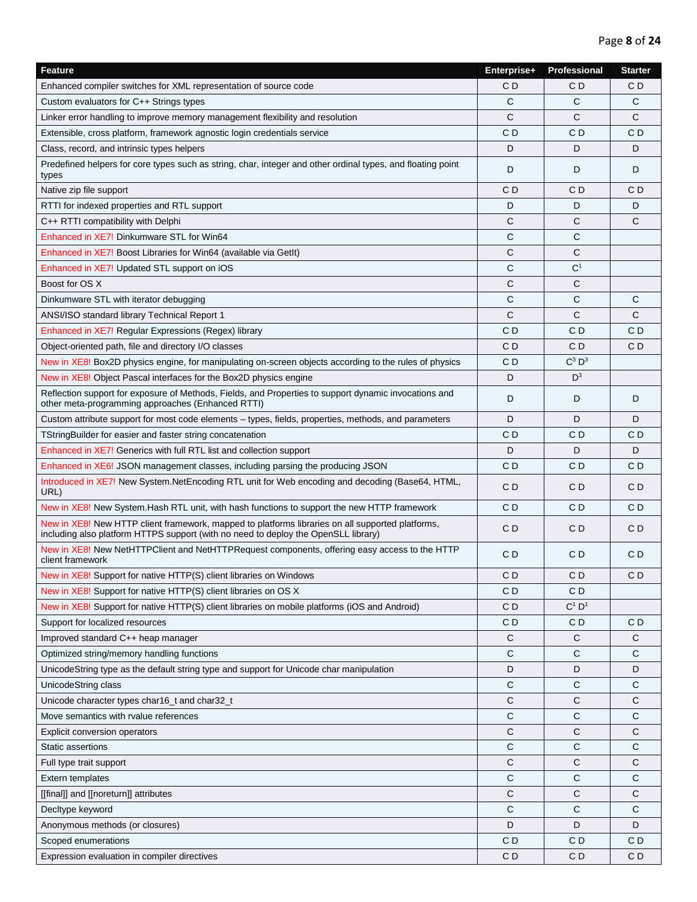| <b>Feature</b>                                                                                                                                                                         | Enterprise+    | <b>Professional</b> | <b>Starter</b> |
|----------------------------------------------------------------------------------------------------------------------------------------------------------------------------------------|----------------|---------------------|----------------|
| Enhanced compiler switches for XML representation of source code                                                                                                                       | C D            | СD                  | СD             |
| Custom evaluators for C++ Strings types                                                                                                                                                | С              | C                   | C              |
| Linker error handling to improve memory management flexibility and resolution                                                                                                          | С              | C                   | C              |
| Extensible, cross platform, framework agnostic login credentials service                                                                                                               | C D            | C D                 | C D            |
| Class, record, and intrinsic types helpers                                                                                                                                             | D              | D                   | D              |
| Predefined helpers for core types such as string, char, integer and other ordinal types, and floating point<br>types                                                                   | D              | D                   | D              |
| Native zip file support                                                                                                                                                                | C D            | СD                  | C D            |
| RTTI for indexed properties and RTL support                                                                                                                                            | D              | D                   | D              |
| C++ RTTI compatibility with Delphi                                                                                                                                                     | С              | С                   | C              |
| Enhanced in XE7! Dinkumware STL for Win64                                                                                                                                              | C              | C                   |                |
| Enhanced in XE7! Boost Libraries for Win64 (available via GetIt)                                                                                                                       | С              | С                   |                |
| Enhanced in XE7! Updated STL support on iOS                                                                                                                                            | С              | $\rm C^1$           |                |
| Boost for OS X                                                                                                                                                                         | С              | C                   |                |
| Dinkumware STL with iterator debugging                                                                                                                                                 | C              | C                   | С              |
| ANSI/ISO standard library Technical Report 1                                                                                                                                           | C              | C                   | C              |
| Enhanced in XE7! Regular Expressions (Regex) library                                                                                                                                   | СD             | C D                 | СD             |
| Object-oriented path, file and directory I/O classes                                                                                                                                   | C D            | C D                 | CD             |
| New in XE8! Box2D physics engine, for manipulating on-screen objects according to the rules of physics                                                                                 | C D            | $C^3$ $D^3$         |                |
| New in XE8! Object Pascal interfaces for the Box2D physics engine                                                                                                                      | D              | $D^3$               |                |
| Reflection support for exposure of Methods, Fields, and Properties to support dynamic invocations and<br>other meta-programming approaches (Enhanced RTTI)                             | D              | D                   | D              |
| Custom attribute support for most code elements – types, fields, properties, methods, and parameters                                                                                   | D              | D                   | D              |
| TStringBuilder for easier and faster string concatenation                                                                                                                              | СD             | C D                 | CD             |
| <b>Enhanced in XE7! Generics with full RTL list and collection support</b>                                                                                                             | D              | D                   | D              |
| Enhanced in XE6! JSON management classes, including parsing the producing JSON                                                                                                         | C D            | C D                 | СD             |
|                                                                                                                                                                                        |                |                     |                |
| Introduced in XE7! New System.NetEncoding RTL unit for Web encoding and decoding (Base64, HTML,<br>URL)                                                                                | C D            | C D                 | CD             |
| New in XE8! New System. Hash RTL unit, with hash functions to support the new HTTP framework                                                                                           | C <sub>D</sub> | CD                  | C <sub>D</sub> |
| New in XE8! New HTTP client framework, mapped to platforms libraries on all supported platforms,<br>including also platform HTTPS support (with no need to deploy the OpenSLL library) | CD             | C D                 | CD             |
| New in XE8! New NetHTTPClient and NetHTTPRequest components, offering easy access to the HTTP<br>client framework                                                                      | C D            | C D                 | C D            |
| New in XE8! Support for native HTTP(S) client libraries on Windows                                                                                                                     | C D            | C D                 | CD             |
| New in XE8! Support for native HTTP(S) client libraries on OS X                                                                                                                        | CD             | CD                  |                |
| New in XE8! Support for native HTTP(S) client libraries on mobile platforms (iOS and Android)                                                                                          | CD             | $C^1$ $D^1$         |                |
| Support for localized resources                                                                                                                                                        | CD             | C D                 | C D            |
| Improved standard C++ heap manager                                                                                                                                                     | $\mathsf{C}$   | C                   | C              |
| Optimized string/memory handling functions                                                                                                                                             | C              | С                   | С              |
| UnicodeString type as the default string type and support for Unicode char manipulation                                                                                                | D              | D                   | D              |
| UnicodeString class                                                                                                                                                                    | С              | С                   | С              |
| Unicode character types char16_t and char32_t                                                                                                                                          | С              | С                   | С              |
| Move semantics with rvalue references                                                                                                                                                  | С              | C                   | C              |
| <b>Explicit conversion operators</b>                                                                                                                                                   | С              | $\mathsf{C}$        | C              |
| Static assertions                                                                                                                                                                      | C              | C                   | C              |
| Full type trait support                                                                                                                                                                | C              | C                   | C              |
| <b>Extern templates</b>                                                                                                                                                                | С              | С                   | С              |
| [[final]] and [[noreturn]] attributes                                                                                                                                                  | С              | С                   | C              |
| Decltype keyword                                                                                                                                                                       | C              | C                   | C              |
| Anonymous methods (or closures)                                                                                                                                                        | D              | D                   | D              |
| Scoped enumerations                                                                                                                                                                    | C D            | CD                  | CD             |
| Expression evaluation in compiler directives                                                                                                                                           | CD             | CD                  | C <sub>D</sub> |
|                                                                                                                                                                                        |                |                     |                |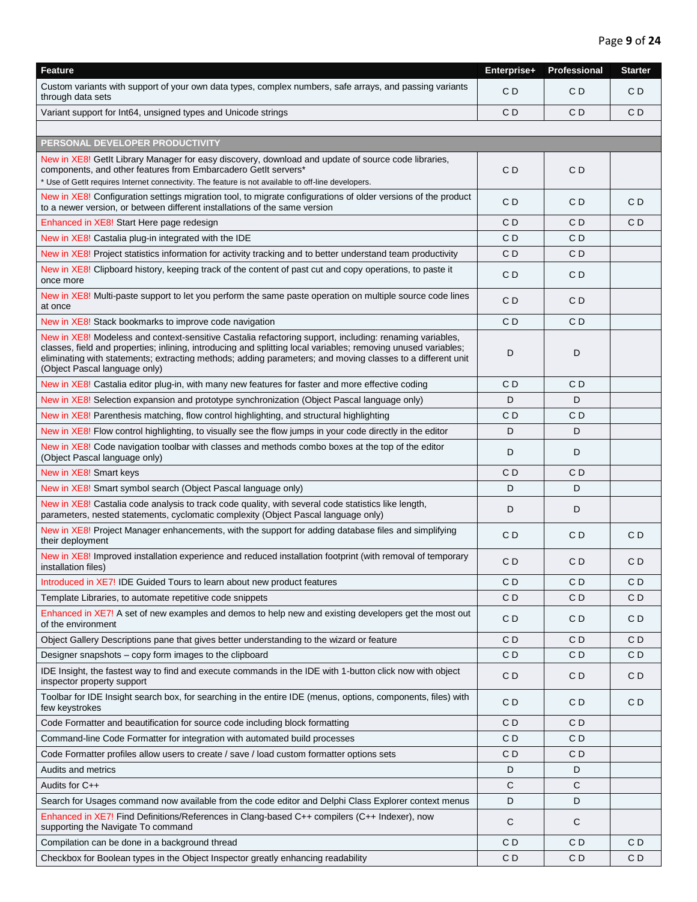| Feature                                                                                                                                                                                                                                                                                                                                                                  | Enterprise+    | Professional   | <b>Starter</b> |
|--------------------------------------------------------------------------------------------------------------------------------------------------------------------------------------------------------------------------------------------------------------------------------------------------------------------------------------------------------------------------|----------------|----------------|----------------|
| Custom variants with support of your own data types, complex numbers, safe arrays, and passing variants<br>through data sets                                                                                                                                                                                                                                             | CD             | CD             | CD             |
| Variant support for Int64, unsigned types and Unicode strings                                                                                                                                                                                                                                                                                                            | CD             | CD             | CD             |
|                                                                                                                                                                                                                                                                                                                                                                          |                |                |                |
| PERSONAL DEVELOPER PRODUCTIVITY                                                                                                                                                                                                                                                                                                                                          |                |                |                |
| New in XE8! GetIt Library Manager for easy discovery, download and update of source code libraries,<br>components, and other features from Embarcadero GetIt servers*<br>* Use of GetIt requires Internet connectivity. The feature is not available to off-line developers.                                                                                             | C D            | C D            |                |
| New in XE8! Configuration settings migration tool, to migrate configurations of older versions of the product<br>to a newer version, or between different installations of the same version                                                                                                                                                                              | CD             | C D            | C <sub>D</sub> |
| Enhanced in XE8! Start Here page redesign                                                                                                                                                                                                                                                                                                                                | C D            | C D            | СD             |
| New in XE8! Castalia plug-in integrated with the IDE                                                                                                                                                                                                                                                                                                                     | C D            | C D            |                |
| New in XE8! Project statistics information for activity tracking and to better understand team productivity                                                                                                                                                                                                                                                              | CD             | CD             |                |
| New in XE8! Clipboard history, keeping track of the content of past cut and copy operations, to paste it<br>once more                                                                                                                                                                                                                                                    | C <sub>D</sub> | C <sub>D</sub> |                |
| New in XE8! Multi-paste support to let you perform the same paste operation on multiple source code lines<br>at once                                                                                                                                                                                                                                                     | C <sub>D</sub> | C <sub>D</sub> |                |
| New in XE8! Stack bookmarks to improve code navigation                                                                                                                                                                                                                                                                                                                   | CD             | CD             |                |
| New in XE8! Modeless and context-sensitive Castalia refactoring support, including: renaming variables,<br>classes, field and properties; inlining, introducing and splitting local variables; removing unused variables;<br>eliminating with statements; extracting methods; adding parameters; and moving classes to a different unit<br>(Object Pascal language only) | D              | D              |                |
| New in XE8! Castalia editor plug-in, with many new features for faster and more effective coding                                                                                                                                                                                                                                                                         | СD             | CD             |                |
| New in XE8! Selection expansion and prototype synchronization (Object Pascal language only)                                                                                                                                                                                                                                                                              | D              | D              |                |
| New in XE8! Parenthesis matching, flow control highlighting, and structural highlighting                                                                                                                                                                                                                                                                                 | C D            | C D            |                |
| New in XE8! Flow control highlighting, to visually see the flow jumps in your code directly in the editor                                                                                                                                                                                                                                                                | D              | D              |                |
| New in XE8! Code navigation toolbar with classes and methods combo boxes at the top of the editor<br>(Object Pascal language only)                                                                                                                                                                                                                                       | D              | D              |                |
| New in XE8! Smart keys                                                                                                                                                                                                                                                                                                                                                   | CD             | CD             |                |
| New in XE8! Smart symbol search (Object Pascal language only)                                                                                                                                                                                                                                                                                                            | D              | D              |                |
| New in XE8! Castalia code analysis to track code quality, with several code statistics like length,<br>parameters, nested statements, cyclomatic complexity (Object Pascal language only)                                                                                                                                                                                | D              | D              |                |
| New in XE8! Project Manager enhancements, with the support for adding database files and simplifying<br>their deployment                                                                                                                                                                                                                                                 | C D            | C D            | CD             |
| New in XE8! Improved installation experience and reduced installation footprint (with removal of temporary<br>installation files)                                                                                                                                                                                                                                        | C D            | C D            | CD             |
| Introduced in XE7! IDE Guided Tours to learn about new product features                                                                                                                                                                                                                                                                                                  | CD             | CD             | C <sub>D</sub> |
| Template Libraries, to automate repetitive code snippets                                                                                                                                                                                                                                                                                                                 | CD             | CD             | CD             |
| Enhanced in XE7! A set of new examples and demos to help new and existing developers get the most out<br>of the environment                                                                                                                                                                                                                                              | C D            | C D            | CD             |
| Object Gallery Descriptions pane that gives better understanding to the wizard or feature                                                                                                                                                                                                                                                                                | CD             | C D            | C D            |
| Designer snapshots - copy form images to the clipboard                                                                                                                                                                                                                                                                                                                   | C D            | C D            | CD             |
| IDE Insight, the fastest way to find and execute commands in the IDE with 1-button click now with object<br>inspector property support                                                                                                                                                                                                                                   | CD             | CD             | CD             |
| Toolbar for IDE Insight search box, for searching in the entire IDE (menus, options, components, files) with<br>few keystrokes                                                                                                                                                                                                                                           | CD             | CD             | CD             |
| Code Formatter and beautification for source code including block formatting                                                                                                                                                                                                                                                                                             | CD             | CD             |                |
| Command-line Code Formatter for integration with automated build processes                                                                                                                                                                                                                                                                                               | C D            | C D            |                |
| Code Formatter profiles allow users to create / save / load custom formatter options sets                                                                                                                                                                                                                                                                                | C D            | CD.            |                |
| <b>Audits and metrics</b>                                                                                                                                                                                                                                                                                                                                                | D              | D              |                |
| Audits for C++                                                                                                                                                                                                                                                                                                                                                           | C              | С              |                |
| Search for Usages command now available from the code editor and Delphi Class Explorer context menus                                                                                                                                                                                                                                                                     | D              | D              |                |
| Enhanced in XE7! Find Definitions/References in Clang-based C++ compilers (C++ Indexer), now<br>supporting the Navigate To command                                                                                                                                                                                                                                       | C              | С              |                |
| Compilation can be done in a background thread                                                                                                                                                                                                                                                                                                                           | C D            | C D            | CD             |
| Checkbox for Boolean types in the Object Inspector greatly enhancing readability                                                                                                                                                                                                                                                                                         | C D            | CD.            | CD             |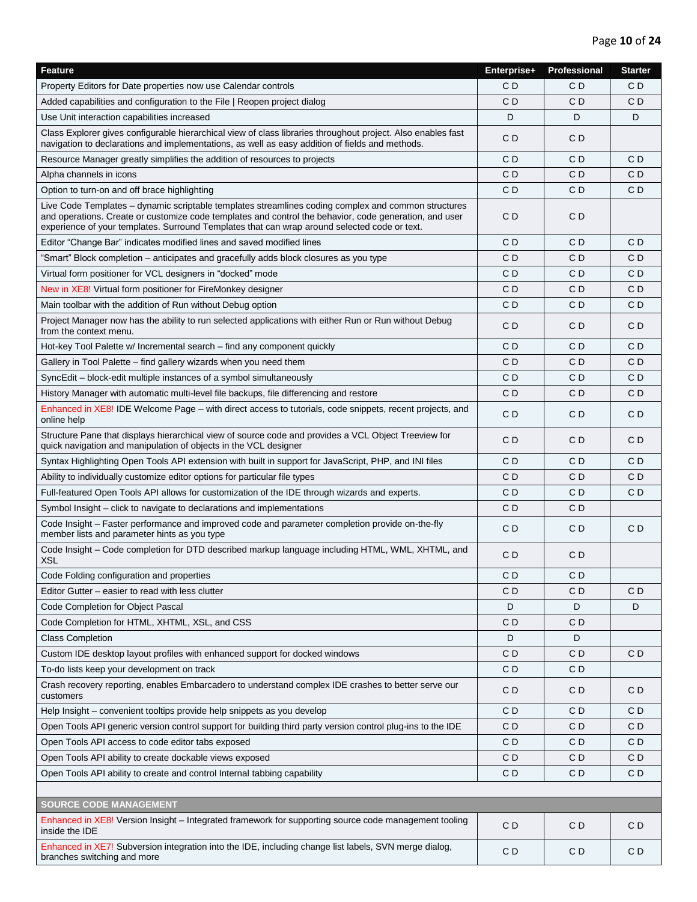| <b>Feature</b>                                                                                                                                                                                                                                                                                                | Enterprise+    | <b>Professional</b> | <b>Starter</b> |
|---------------------------------------------------------------------------------------------------------------------------------------------------------------------------------------------------------------------------------------------------------------------------------------------------------------|----------------|---------------------|----------------|
| Property Editors for Date properties now use Calendar controls                                                                                                                                                                                                                                                | C D            | C D                 | C D            |
| Added capabilities and configuration to the File   Reopen project dialog                                                                                                                                                                                                                                      | C D            | C D                 | CD             |
| Use Unit interaction capabilities increased                                                                                                                                                                                                                                                                   | D              | D                   | D              |
| Class Explorer gives configurable hierarchical view of class libraries throughout project. Also enables fast<br>navigation to declarations and implementations, as well as easy addition of fields and methods.                                                                                               | CD             | CD                  |                |
| Resource Manager greatly simplifies the addition of resources to projects                                                                                                                                                                                                                                     | C D            | C D                 | CD             |
| Alpha channels in icons                                                                                                                                                                                                                                                                                       | C D            | C D                 | СD             |
| Option to turn-on and off brace highlighting                                                                                                                                                                                                                                                                  | CD             | CD                  | CD             |
| Live Code Templates – dynamic scriptable templates streamlines coding complex and common structures<br>and operations. Create or customize code templates and control the behavior, code generation, and user<br>experience of your templates. Surround Templates that can wrap around selected code or text. | СD             | C D                 |                |
| Editor "Change Bar" indicates modified lines and saved modified lines                                                                                                                                                                                                                                         | C D            | C D                 | CD             |
| "Smart" Block completion – anticipates and gracefully adds block closures as you type                                                                                                                                                                                                                         | C D            | C D                 | СD             |
| Virtual form positioner for VCL designers in "docked" mode                                                                                                                                                                                                                                                    | C D            | C D                 | СD             |
| New in XE8! Virtual form positioner for FireMonkey designer                                                                                                                                                                                                                                                   | C D            | CD                  | CD             |
| Main toolbar with the addition of Run without Debug option                                                                                                                                                                                                                                                    | C D            | C D                 | CD             |
| Project Manager now has the ability to run selected applications with either Run or Run without Debug<br>from the context menu.                                                                                                                                                                               | C <sub>D</sub> | CD                  | C <sub>D</sub> |
| Hot-key Tool Palette w/ Incremental search - find any component quickly                                                                                                                                                                                                                                       | C <sub>D</sub> | C <sub>D</sub>      | C <sub>D</sub> |
| Gallery in Tool Palette – find gallery wizards when you need them                                                                                                                                                                                                                                             | C D            | C D                 | C D            |
| SyncEdit – block-edit multiple instances of a symbol simultaneously                                                                                                                                                                                                                                           | C D            | C D                 | C D            |
| History Manager with automatic multi-level file backups, file differencing and restore                                                                                                                                                                                                                        | CD             | CD                  | СD             |
| Enhanced in XE8! IDE Welcome Page – with direct access to tutorials, code snippets, recent projects, and<br>online help                                                                                                                                                                                       | C D            | C <sub>D</sub>      | C <sub>D</sub> |
| Structure Pane that displays hierarchical view of source code and provides a VCL Object Treeview for<br>quick navigation and manipulation of objects in the VCL designer                                                                                                                                      | СD             | C D                 | C <sub>D</sub> |
| Syntax Highlighting Open Tools API extension with built in support for JavaScript, PHP, and INI files                                                                                                                                                                                                         | C D            | C D                 | CD             |
| Ability to individually customize editor options for particular file types                                                                                                                                                                                                                                    | C D            | C D                 | СD             |
| Full-featured Open Tools API allows for customization of the IDE through wizards and experts.                                                                                                                                                                                                                 | C D            | C D                 | CD             |
| Symbol Insight – click to navigate to declarations and implementations                                                                                                                                                                                                                                        | C D            | C D                 |                |
| Code Insight - Faster performance and improved code and parameter completion provide on-the-fly<br>member lists and parameter hints as you type                                                                                                                                                               | CD             | CD                  | CD             |
| Code Insight - Code completion for DTD described markup language including HTML, WML, XHTML, and<br>XSL                                                                                                                                                                                                       | CD             | CD                  |                |
| Code Folding configuration and properties                                                                                                                                                                                                                                                                     | CD             | C D                 |                |
| Editor Gutter – easier to read with less clutter                                                                                                                                                                                                                                                              | C D            | C D                 | СD             |
| Code Completion for Object Pascal                                                                                                                                                                                                                                                                             | D              | D                   | D              |
| Code Completion for HTML, XHTML, XSL, and CSS                                                                                                                                                                                                                                                                 | C D            | C D                 |                |
| <b>Class Completion</b>                                                                                                                                                                                                                                                                                       | D              | D                   |                |
| Custom IDE desktop layout profiles with enhanced support for docked windows                                                                                                                                                                                                                                   | C D            | C D                 | CD             |
| To-do lists keep your development on track                                                                                                                                                                                                                                                                    | C D            | C D                 |                |
| Crash recovery reporting, enables Embarcadero to understand complex IDE crashes to better serve our<br>customers                                                                                                                                                                                              | CD             | C D                 | CD             |
| Help Insight – convenient tooltips provide help snippets as you develop                                                                                                                                                                                                                                       | C D            | C D                 | СD             |
| Open Tools API generic version control support for building third party version control plug-ins to the IDE                                                                                                                                                                                                   | C D            | C D                 | C D            |
| Open Tools API access to code editor tabs exposed                                                                                                                                                                                                                                                             | CD             | CD                  | C D            |
| Open Tools API ability to create dockable views exposed                                                                                                                                                                                                                                                       | C D            | C D                 | C D            |
| Open Tools API ability to create and control Internal tabbing capability                                                                                                                                                                                                                                      | CD             | CD                  | CD             |
|                                                                                                                                                                                                                                                                                                               |                |                     |                |
| <b>SOURCE CODE MANAGEMENT</b>                                                                                                                                                                                                                                                                                 |                |                     |                |
| Enhanced in XE8! Version Insight - Integrated framework for supporting source code management tooling<br>inside the IDE                                                                                                                                                                                       | CD             | C D                 | CD             |
| Enhanced in XE7! Subversion integration into the IDE, including change list labels, SVN merge dialog,<br>branches switching and more                                                                                                                                                                          | CD             | CD                  | CD             |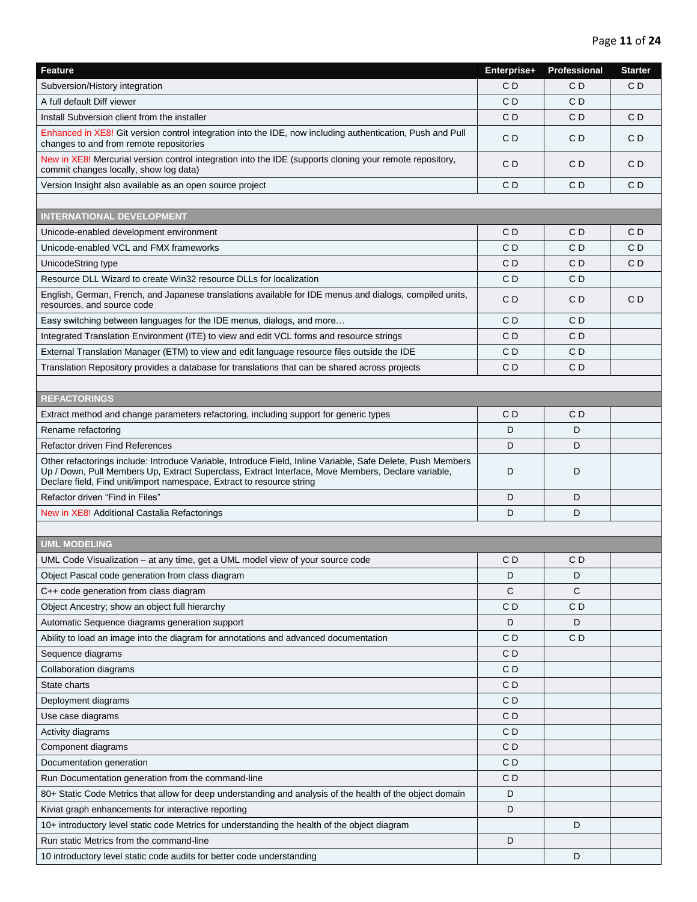| <b>Feature</b>                                                                                                                                                                                                                                                                             | Enterprise+    | Professional | <b>Starter</b> |
|--------------------------------------------------------------------------------------------------------------------------------------------------------------------------------------------------------------------------------------------------------------------------------------------|----------------|--------------|----------------|
| Subversion/History integration                                                                                                                                                                                                                                                             | СD             | C D          | CD             |
| A full default Diff viewer                                                                                                                                                                                                                                                                 | C D            | C D          |                |
| Install Subversion client from the installer                                                                                                                                                                                                                                               | C <sub>D</sub> | C D          | CD             |
| Enhanced in XE8! Git version control integration into the IDE, now including authentication, Push and Pull<br>changes to and from remote repositories                                                                                                                                      | C D            | C D          | CD             |
| New in XE8! Mercurial version control integration into the IDE (supports cloning your remote repository,<br>commit changes locally, show log data)                                                                                                                                         | C D            | C D          | CD             |
| Version Insight also available as an open source project                                                                                                                                                                                                                                   | CD             | C D          | CD             |
|                                                                                                                                                                                                                                                                                            |                |              |                |
| <b>INTERNATIONAL DEVELOPMENT</b>                                                                                                                                                                                                                                                           |                |              |                |
| Unicode-enabled development environment                                                                                                                                                                                                                                                    | C D            | C D          | CD             |
| Unicode-enabled VCL and FMX frameworks                                                                                                                                                                                                                                                     | СD             | C D          | СD             |
| UnicodeString type                                                                                                                                                                                                                                                                         | C D            | C D          | СD             |
| Resource DLL Wizard to create Win32 resource DLLs for localization                                                                                                                                                                                                                         | CD             | C D          |                |
| English, German, French, and Japanese translations available for IDE menus and dialogs, compiled units,<br>resources, and source code                                                                                                                                                      | CD             | CD           | C <sub>D</sub> |
| Easy switching between languages for the IDE menus, dialogs, and more                                                                                                                                                                                                                      | C D            | C D          |                |
| Integrated Translation Environment (ITE) to view and edit VCL forms and resource strings                                                                                                                                                                                                   | СD             | C D          |                |
| External Translation Manager (ETM) to view and edit language resource files outside the IDE                                                                                                                                                                                                | C D            | C D          |                |
| Translation Repository provides a database for translations that can be shared across projects                                                                                                                                                                                             | C D            | C D          |                |
|                                                                                                                                                                                                                                                                                            |                |              |                |
| <b>REFACTORINGS</b>                                                                                                                                                                                                                                                                        |                |              |                |
| Extract method and change parameters refactoring, including support for generic types                                                                                                                                                                                                      | C D            | C D          |                |
| Rename refactoring                                                                                                                                                                                                                                                                         | D              | D            |                |
| Refactor driven Find References                                                                                                                                                                                                                                                            | D              | D            |                |
| Other refactorings include: Introduce Variable, Introduce Field, Inline Variable, Safe Delete, Push Members<br>Up / Down, Pull Members Up, Extract Superclass, Extract Interface, Move Members, Declare variable,<br>Declare field, Find unit/import namespace, Extract to resource string | D              | D            |                |
| Refactor driven "Find in Files"                                                                                                                                                                                                                                                            | D              | D            |                |
| New in XE8! Additional Castalia Refactorings                                                                                                                                                                                                                                               | D              | D            |                |
|                                                                                                                                                                                                                                                                                            |                |              |                |
| <b>UML MODELING</b>                                                                                                                                                                                                                                                                        |                |              |                |
| UML Code Visualization – at any time, get a UML model view of your source code                                                                                                                                                                                                             | C D            | СD           |                |
| Object Pascal code generation from class diagram                                                                                                                                                                                                                                           | D              | D            |                |
| C++ code generation from class diagram                                                                                                                                                                                                                                                     | С              | С            |                |
| Object Ancestry; show an object full hierarchy                                                                                                                                                                                                                                             | C D            | C D          |                |
| Automatic Sequence diagrams generation support                                                                                                                                                                                                                                             | D              | D            |                |
| Ability to load an image into the diagram for annotations and advanced documentation                                                                                                                                                                                                       | C D            | C D          |                |
| Sequence diagrams                                                                                                                                                                                                                                                                          | CD             |              |                |
| Collaboration diagrams                                                                                                                                                                                                                                                                     | CD             |              |                |
| State charts                                                                                                                                                                                                                                                                               | C D            |              |                |
| Deployment diagrams                                                                                                                                                                                                                                                                        | C D            |              |                |
| Use case diagrams                                                                                                                                                                                                                                                                          | CD             |              |                |
| Activity diagrams                                                                                                                                                                                                                                                                          | CD             |              |                |
| Component diagrams                                                                                                                                                                                                                                                                         | CD             |              |                |
| Documentation generation                                                                                                                                                                                                                                                                   | CD             |              |                |
| Run Documentation generation from the command-line                                                                                                                                                                                                                                         | C D            |              |                |
| 80+ Static Code Metrics that allow for deep understanding and analysis of the health of the object domain                                                                                                                                                                                  | D              |              |                |
| Kiviat graph enhancements for interactive reporting                                                                                                                                                                                                                                        | D              |              |                |
| 10+ introductory level static code Metrics for understanding the health of the object diagram                                                                                                                                                                                              |                | D            |                |
| Run static Metrics from the command-line                                                                                                                                                                                                                                                   | D              |              |                |
| 10 introductory level static code audits for better code understanding                                                                                                                                                                                                                     |                | D            |                |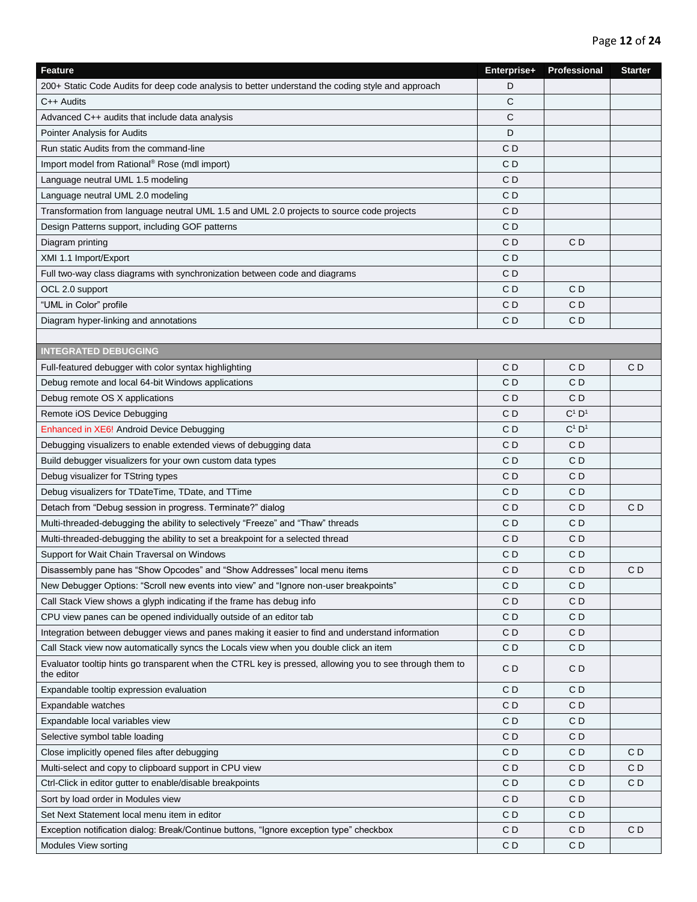| <b>Feature</b>                                                                                                         | Enterprise+    | Professional | <b>Starter</b> |
|------------------------------------------------------------------------------------------------------------------------|----------------|--------------|----------------|
| 200+ Static Code Audits for deep code analysis to better understand the coding style and approach                      | D              |              |                |
| C++ Audits                                                                                                             | C              |              |                |
| Advanced C++ audits that include data analysis                                                                         | С              |              |                |
| <b>Pointer Analysis for Audits</b>                                                                                     | D              |              |                |
| Run static Audits from the command-line                                                                                | C <sub>D</sub> |              |                |
| Import model from Rational® Rose (mdl import)                                                                          | CD             |              |                |
| Language neutral UML 1.5 modeling                                                                                      | CD             |              |                |
| Language neutral UML 2.0 modeling                                                                                      | CD             |              |                |
| Transformation from language neutral UML 1.5 and UML 2.0 projects to source code projects                              | C <sub>D</sub> |              |                |
| Design Patterns support, including GOF patterns                                                                        | C D            |              |                |
| Diagram printing                                                                                                       | CD             | C D          |                |
| XMI 1.1 Import/Export                                                                                                  | C <sub>D</sub> |              |                |
| Full two-way class diagrams with synchronization between code and diagrams                                             | CD             |              |                |
| OCL 2.0 support                                                                                                        | CD             | C D          |                |
| "UML in Color" profile                                                                                                 | CD             | CD           |                |
| Diagram hyper-linking and annotations                                                                                  | C <sub>D</sub> | CD           |                |
|                                                                                                                        |                |              |                |
| <b>INTEGRATED DEBUGGING</b>                                                                                            |                |              |                |
| Full-featured debugger with color syntax highlighting                                                                  | CD             | C D          | C D            |
| Debug remote and local 64-bit Windows applications                                                                     | CD             | C D          |                |
| Debug remote OS X applications                                                                                         | CD             | C D          |                |
|                                                                                                                        | CD             | $C^1$ $D^1$  |                |
| Remote iOS Device Debugging                                                                                            | CD             | $C^1$ $D^1$  |                |
| Enhanced in XE6! Android Device Debugging                                                                              |                |              |                |
| Debugging visualizers to enable extended views of debugging data                                                       | CD             | C D          |                |
| Build debugger visualizers for your own custom data types                                                              | CD             | C D          |                |
| Debug visualizer for TString types                                                                                     | C <sub>D</sub> | CD           |                |
| Debug visualizers for TDateTime, TDate, and TTime                                                                      | CD             | C D          |                |
| Detach from "Debug session in progress. Terminate?" dialog                                                             | CD             | C D          | C D            |
| Multi-threaded-debugging the ability to selectively "Freeze" and "Thaw" threads                                        | CD             | C D          |                |
| Multi-threaded-debugging the ability to set a breakpoint for a selected thread                                         | CD             | CD           |                |
| Support for Wait Chain Traversal on Windows                                                                            | C D            | C D          |                |
| Disassembly pane has "Show Opcodes" and "Show Addresses" local menu items                                              | CD             | C D          | C D            |
| New Debugger Options: "Scroll new events into view" and "Ignore non-user breakpoints"                                  | C <sub>D</sub> | CD           |                |
| Call Stack View shows a glyph indicating if the frame has debug info                                                   | CD             | CD           |                |
| CPU view panes can be opened individually outside of an editor tab                                                     | CD             | C D          |                |
| Integration between debugger views and panes making it easier to find and understand information                       | CD             | CD           |                |
| Call Stack view now automatically syncs the Locals view when you double click an item                                  | CD             | C D          |                |
| Evaluator tooltip hints go transparent when the CTRL key is pressed, allowing you to see through them to<br>the editor | CD             | CD           |                |
| Expandable tooltip expression evaluation                                                                               | C <sub>D</sub> | CD           |                |
| Expandable watches                                                                                                     | C <sub>D</sub> | CD           |                |
| Expandable local variables view                                                                                        | CD             | C D          |                |
| Selective symbol table loading                                                                                         | CD             | CD           |                |
| Close implicitly opened files after debugging                                                                          | CD             | C D          | C D            |
| Multi-select and copy to clipboard support in CPU view                                                                 | CD             | CD           | CD             |
| Ctrl-Click in editor gutter to enable/disable breakpoints                                                              | CD             | CD           | C <sub>D</sub> |
| Sort by load order in Modules view                                                                                     | CD             | CD           |                |
| Set Next Statement local menu item in editor                                                                           | C <sub>D</sub> | CD           |                |
| Exception notification dialog: Break/Continue buttons, "Ignore exception type" checkbox                                | CD             | CD           | CD             |
| Modules View sorting                                                                                                   | CD             | CD           |                |
|                                                                                                                        |                |              |                |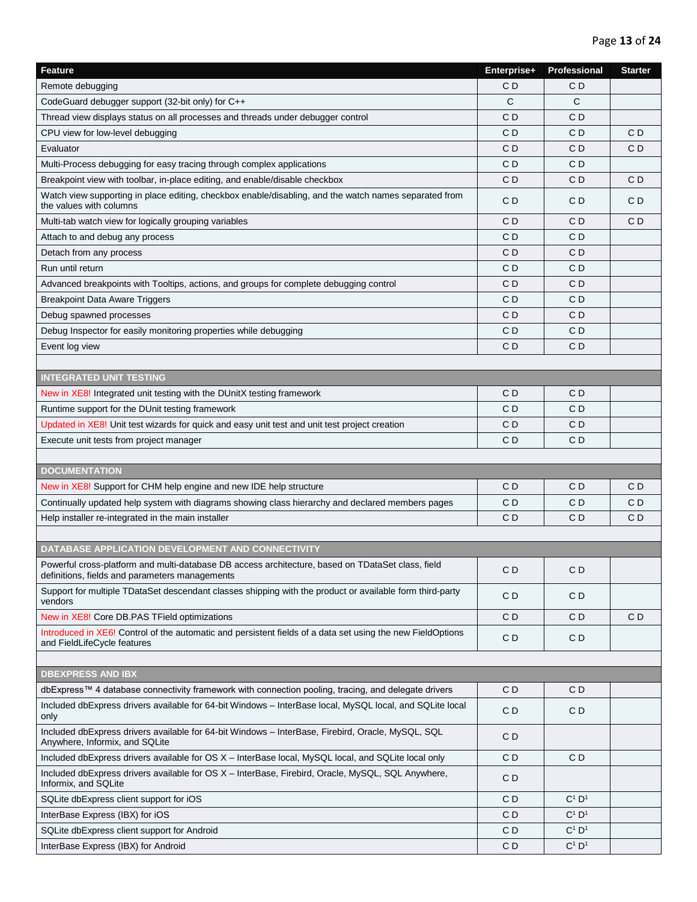| Feature                                                                                                                                             | Enterprise+    | Professional                  | <b>Starter</b> |
|-----------------------------------------------------------------------------------------------------------------------------------------------------|----------------|-------------------------------|----------------|
| Remote debugging                                                                                                                                    | C D            | СD                            |                |
| CodeGuard debugger support (32-bit only) for C++                                                                                                    | C              | C                             |                |
| Thread view displays status on all processes and threads under debugger control                                                                     | C D            | C D                           |                |
| CPU view for low-level debugging                                                                                                                    | C D            | СD                            | C D            |
| Evaluator                                                                                                                                           | СD             | СD                            | C D            |
| Multi-Process debugging for easy tracing through complex applications                                                                               | СD             | СD                            |                |
| Breakpoint view with toolbar, in-place editing, and enable/disable checkbox                                                                         | СD             | СD                            | C D            |
| Watch view supporting in place editing, checkbox enable/disabling, and the watch names separated from<br>the values with columns                    | C D            | CD                            | CD             |
| Multi-tab watch view for logically grouping variables                                                                                               | C D            | СD                            | CD             |
| Attach to and debug any process                                                                                                                     | C D            | C D                           |                |
| Detach from any process                                                                                                                             | C D            | C D                           |                |
| Run until return                                                                                                                                    | СD             | СD                            |                |
| Advanced breakpoints with Tooltips, actions, and groups for complete debugging control                                                              | СD             | СD                            |                |
| <b>Breakpoint Data Aware Triggers</b>                                                                                                               | C <sub>D</sub> | CD                            |                |
| Debug spawned processes                                                                                                                             | СD             | СD                            |                |
| Debug Inspector for easily monitoring properties while debugging                                                                                    | C D            | СD                            |                |
| Event log view                                                                                                                                      | C D            | СD                            |                |
|                                                                                                                                                     |                |                               |                |
| <b>INTEGRATED UNIT TESTING</b>                                                                                                                      |                |                               |                |
| New in XE8! Integrated unit testing with the DUnitX testing framework                                                                               | C D            | CD                            |                |
| Runtime support for the DUnit testing framework                                                                                                     | C <sub>D</sub> | CD                            |                |
| Updated in XE8! Unit test wizards for quick and easy unit test and unit test project creation                                                       | СD             | СD                            |                |
| Execute unit tests from project manager                                                                                                             | СD             | СD                            |                |
|                                                                                                                                                     |                |                               |                |
| <b>DOCUMENTATION</b>                                                                                                                                |                |                               |                |
| New in XE8! Support for CHM help engine and new IDE help structure                                                                                  | C D            | C D                           | C D            |
| Continually updated help system with diagrams showing class hierarchy and declared members pages                                                    | C D            | СD                            | C D            |
| Help installer re-integrated in the main installer                                                                                                  | C <sub>D</sub> | CD                            | CD             |
|                                                                                                                                                     |                |                               |                |
| DATABASE APPLICATION DEVELOPMENT AND CONNECTIVITY                                                                                                   |                |                               |                |
| Powerful cross-platform and multi-database DB access architecture, based on TDataSet class, field<br>definitions, fields and parameters managements | CD             | CD                            |                |
| Support for multiple TDataSet descendant classes shipping with the product or available form third-party<br>vendors                                 | C D            | CD                            |                |
| New in XE8! Core DB.PAS TField optimizations                                                                                                        | C <sub>D</sub> | CD                            | CD             |
| Introduced in XE6! Control of the automatic and persistent fields of a data set using the new FieldOptions<br>and FieldLifeCycle features           | C <sub>D</sub> | CD                            |                |
|                                                                                                                                                     |                |                               |                |
| <b>DBEXPRESS AND IBX</b>                                                                                                                            |                |                               |                |
| dbExpress™ 4 database connectivity framework with connection pooling, tracing, and delegate drivers                                                 | C D            | CD                            |                |
| Included dbExpress drivers available for 64-bit Windows - InterBase local, MySQL local, and SQLite local<br>only                                    | CD             | CD                            |                |
| Included dbExpress drivers available for 64-bit Windows - InterBase, Firebird, Oracle, MySQL, SQL<br>Anywhere, Informix, and SQLite                 | CD             |                               |                |
| Included dbExpress drivers available for OS X - InterBase local, MySQL local, and SQLite local only                                                 | C <sub>D</sub> | CD                            |                |
| Included dbExpress drivers available for OS X - InterBase, Firebird, Oracle, MySQL, SQL Anywhere,<br>Informix, and SQLite                           | CD             |                               |                |
| SQLite dbExpress client support for iOS                                                                                                             | C <sub>D</sub> | $C^1$ $D^1$                   |                |
| InterBase Express (IBX) for iOS                                                                                                                     | C D            | $C^1$ $D^1$                   |                |
| SQLite dbExpress client support for Android                                                                                                         | C D            | $C^1$ $D^1$                   |                |
| InterBase Express (IBX) for Android                                                                                                                 | C <sub>D</sub> | $\mathbf{C}^1$ $\mathbf{D}^1$ |                |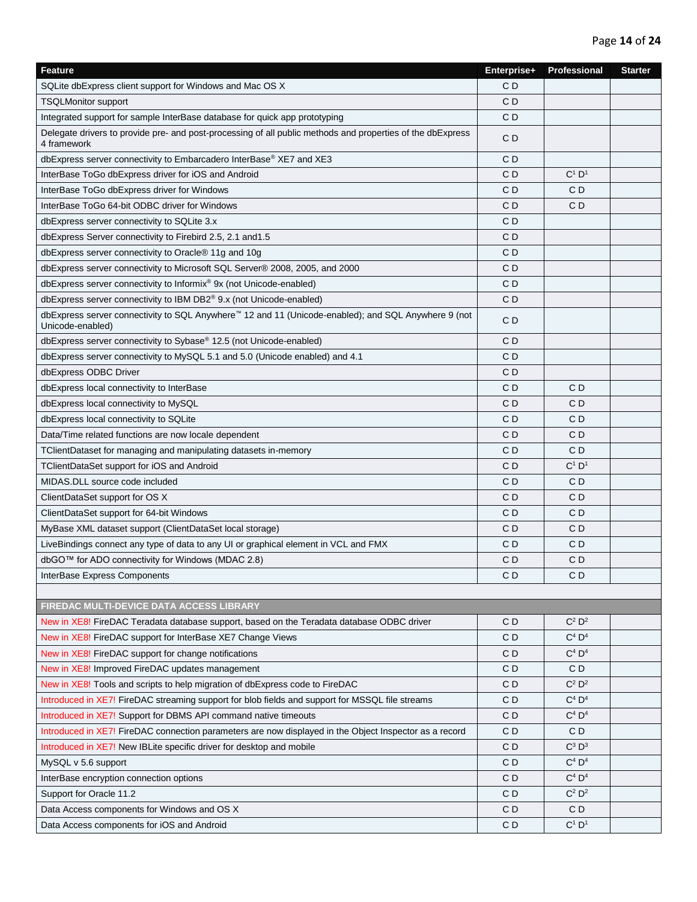| Feature                                                                                                                             | Enterprise+    | Professional         | <b>Starter</b> |
|-------------------------------------------------------------------------------------------------------------------------------------|----------------|----------------------|----------------|
| SQLite dbExpress client support for Windows and Mac OS X                                                                            | C <sub>D</sub> |                      |                |
| <b>TSQLMonitor support</b>                                                                                                          | C <sub>D</sub> |                      |                |
| Integrated support for sample InterBase database for quick app prototyping                                                          | CD             |                      |                |
| Delegate drivers to provide pre- and post-processing of all public methods and properties of the dbExpress<br>4 framework           | CD             |                      |                |
| dbExpress server connectivity to Embarcadero InterBase® XE7 and XE3                                                                 | C <sub>D</sub> |                      |                |
| InterBase ToGo dbExpress driver for iOS and Android                                                                                 | C <sub>D</sub> | $C^1$ $D^1$          |                |
| InterBase ToGo dbExpress driver for Windows                                                                                         | C <sub>D</sub> | C <sub>D</sub>       |                |
| InterBase ToGo 64-bit ODBC driver for Windows                                                                                       | C <sub>D</sub> | C <sub>D</sub>       |                |
| dbExpress server connectivity to SQLite 3.x                                                                                         | C <sub>D</sub> |                      |                |
| dbExpress Server connectivity to Firebird 2.5, 2.1 and 1.5                                                                          | CD             |                      |                |
| dbExpress server connectivity to Oracle® 11g and 10g                                                                                | CD             |                      |                |
| dbExpress server connectivity to Microsoft SQL Server® 2008, 2005, and 2000                                                         | CD             |                      |                |
| dbExpress server connectivity to Informix® 9x (not Unicode-enabled)                                                                 | CD             |                      |                |
| dbExpress server connectivity to IBM DB2® 9.x (not Unicode-enabled)                                                                 | C <sub>D</sub> |                      |                |
| dbExpress server connectivity to SQL Anywhere <sup>™</sup> 12 and 11 (Unicode-enabled); and SQL Anywhere 9 (not<br>Unicode-enabled) | CD             |                      |                |
| dbExpress server connectivity to Sybase® 12.5 (not Unicode-enabled)                                                                 | C <sub>D</sub> |                      |                |
| dbExpress server connectivity to MySQL 5.1 and 5.0 (Unicode enabled) and 4.1                                                        | C <sub>D</sub> |                      |                |
| dbExpress ODBC Driver                                                                                                               | CD             |                      |                |
| dbExpress local connectivity to InterBase                                                                                           | CD             | CD                   |                |
| dbExpress local connectivity to MySQL                                                                                               | C <sub>D</sub> | C <sub>D</sub>       |                |
| dbExpress local connectivity to SQLite                                                                                              | C D            | C D                  |                |
| Data/Time related functions are now locale dependent                                                                                | CD             | CD                   |                |
| TClientDataset for managing and manipulating datasets in-memory                                                                     | C <sub>D</sub> | CD                   |                |
| TClientDataSet support for iOS and Android                                                                                          | CD             | $C^1$ $D^1$          |                |
| MIDAS.DLL source code included                                                                                                      | C D            | CD                   |                |
| ClientDataSet support for OS X                                                                                                      | CD             | CD                   |                |
| ClientDataSet support for 64-bit Windows                                                                                            | C <sub>D</sub> | C <sub>D</sub>       |                |
| MyBase XML dataset support (ClientDataSet local storage)                                                                            | CD             | CD                   |                |
| LiveBindings connect any type of data to any UI or graphical element in VCL and FMX                                                 | C <sub>D</sub> | C <sub>D</sub>       |                |
| dbGO™ for ADO connectivity for Windows (MDAC 2.8)                                                                                   | C <sub>D</sub> | C D                  |                |
| InterBase Express Components                                                                                                        | CD             | CD                   |                |
|                                                                                                                                     |                |                      |                |
| FIREDAC MULTI-DEVICE DATA ACCESS LIBRARY                                                                                            |                |                      |                |
| New in XE8! FireDAC Teradata database support, based on the Teradata database ODBC driver                                           | CD             | $C^2$ $D^2$          |                |
| New in XE8! FireDAC support for InterBase XE7 Change Views                                                                          | CD             | $C^4$ $D^4$          |                |
| New in XE8! FireDAC support for change notifications                                                                                | CD             | $C^4$ $D^4$          |                |
| New in XE8! Improved FireDAC updates management                                                                                     | CD             | CD                   |                |
| New in XE8! Tools and scripts to help migration of dbExpress code to FireDAC                                                        | CD             | $C^2$ $D^2$          |                |
| Introduced in XE7! FireDAC streaming support for blob fields and support for MSSQL file streams                                     | CD             | $C^4$ D <sup>4</sup> |                |
| Introduced in XE7! Support for DBMS API command native timeouts                                                                     | CD             | $C^4$ $D^4$          |                |
| Introduced in XE7! FireDAC connection parameters are now displayed in the Object Inspector as a record                              | CD             | CD                   |                |
| Introduced in XE7! New IBLite specific driver for desktop and mobile                                                                | CD             | $C^3$ $D^3$          |                |
| MySQL v 5.6 support                                                                                                                 | CD             | $C^4$ $D^4$          |                |
| InterBase encryption connection options                                                                                             | CD             | $C^4$ $D^4$          |                |
| Support for Oracle 11.2                                                                                                             | CD             | $C^2$ $D^2$          |                |
| Data Access components for Windows and OS X                                                                                         | CD             | CD                   |                |
| Data Access components for iOS and Android                                                                                          | CD             | $C^1$ $D^1$          |                |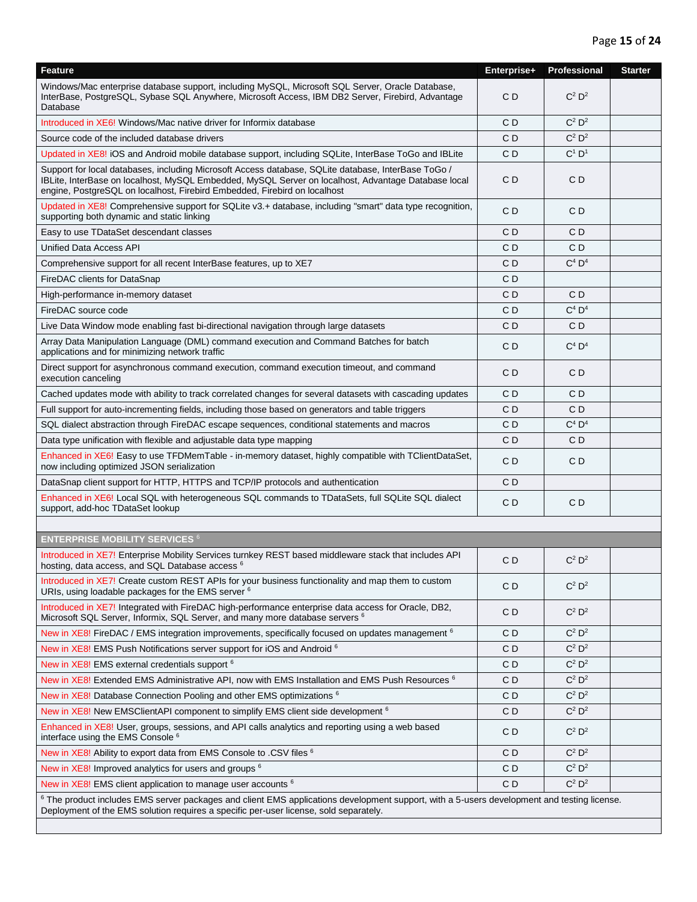| <b>Feature</b>                                                                                                                                                                                                                                                                          | Enterprise+    | Professional         | <b>Starter</b> |
|-----------------------------------------------------------------------------------------------------------------------------------------------------------------------------------------------------------------------------------------------------------------------------------------|----------------|----------------------|----------------|
| Windows/Mac enterprise database support, including MySQL, Microsoft SQL Server, Oracle Database,<br>InterBase, PostgreSQL, Sybase SQL Anywhere, Microsoft Access, IBM DB2 Server, Firebird, Advantage<br>Database                                                                       | CD             | $C^2$ $D^2$          |                |
| Introduced in XE6! Windows/Mac native driver for Informix database                                                                                                                                                                                                                      | C D            | $C^2$ $D^2$          |                |
| Source code of the included database drivers                                                                                                                                                                                                                                            | CD             | $C^2$ $D^2$          |                |
| Updated in XE8! iOS and Android mobile database support, including SQLite, InterBase ToGo and IBLite                                                                                                                                                                                    | CD             | $C^1$ $D^1$          |                |
| Support for local databases, including Microsoft Access database, SQLite database, InterBase ToGo /<br>IBLite, InterBase on localhost, MySQL Embedded, MySQL Server on localhost, Advantage Database local<br>engine, PostgreSQL on localhost, Firebird Embedded, Firebird on localhost | CD             | CD                   |                |
| Updated in XE8! Comprehensive support for SQLite v3.+ database, including "smart" data type recognition,<br>supporting both dynamic and static linking                                                                                                                                  | CD             | CD                   |                |
| Easy to use TDataSet descendant classes                                                                                                                                                                                                                                                 | CD             | CD                   |                |
| <b>Unified Data Access API</b>                                                                                                                                                                                                                                                          | CD             | CD                   |                |
| Comprehensive support for all recent InterBase features, up to XE7                                                                                                                                                                                                                      | CD             | $C^4$ $D^4$          |                |
| FireDAC clients for DataSnap                                                                                                                                                                                                                                                            | CD             |                      |                |
| High-performance in-memory dataset                                                                                                                                                                                                                                                      | CD             | C D                  |                |
| FireDAC source code                                                                                                                                                                                                                                                                     | CD             | $C^4$ D <sup>4</sup> |                |
| Live Data Window mode enabling fast bi-directional navigation through large datasets                                                                                                                                                                                                    | C <sub>D</sub> | CD                   |                |
| Array Data Manipulation Language (DML) command execution and Command Batches for batch<br>applications and for minimizing network traffic                                                                                                                                               | CD             | $C^4$ $D^4$          |                |
| Direct support for asynchronous command execution, command execution timeout, and command<br>execution canceling                                                                                                                                                                        | CD             | CD                   |                |
| Cached updates mode with ability to track correlated changes for several datasets with cascading updates                                                                                                                                                                                | CD             | CD                   |                |
| Full support for auto-incrementing fields, including those based on generators and table triggers                                                                                                                                                                                       | CD             | CD                   |                |
| SQL dialect abstraction through FireDAC escape sequences, conditional statements and macros                                                                                                                                                                                             | CD             | $C^4$ $D^4$          |                |
| Data type unification with flexible and adjustable data type mapping                                                                                                                                                                                                                    | CD             | CD                   |                |
| Enhanced in XE6! Easy to use TFDMemTable - in-memory dataset, highly compatible with TClientDataSet,<br>now including optimized JSON serialization                                                                                                                                      | CD             | CD                   |                |
| DataSnap client support for HTTP, HTTPS and TCP/IP protocols and authentication                                                                                                                                                                                                         | C <sub>D</sub> |                      |                |
| Enhanced in XE6! Local SQL with heterogeneous SQL commands to TDataSets, full SQLite SQL dialect<br>support, add-hoc TDataSet lookup                                                                                                                                                    | CD             | CD                   |                |
|                                                                                                                                                                                                                                                                                         |                |                      |                |
| <b>ENTERPRISE MOBILITY SERVICES 6</b>                                                                                                                                                                                                                                                   |                |                      |                |
| Introduced in XE7! Enterprise Mobility Services turnkey REST based middleware stack that includes API<br>hosting, data access, and SQL Database access <sup>6</sup>                                                                                                                     | CD             | $C^2 D^2$            |                |
| Introduced in XE7! Create custom REST APIs for your business functionality and map them to custom<br>URIs, using loadable packages for the EMS server <sup>6</sup>                                                                                                                      | C <sub>D</sub> | $C^2$ $D^2$          |                |
| Introduced in XE7! Integrated with FireDAC high-performance enterprise data access for Oracle, DB2,<br>Microsoft SQL Server, Informix, SQL Server, and many more database servers <sup>6</sup>                                                                                          | CD             | $C^2$ $D^2$          |                |
| New in XE8! FireDAC / EMS integration improvements, specifically focused on updates management <sup>6</sup>                                                                                                                                                                             | CD             | $C^2$ $D^2$          |                |
| New in XE8! EMS Push Notifications server support for iOS and Android 6                                                                                                                                                                                                                 | C D            | $C^2$ $D^2$          |                |
| New in XE8! EMS external credentials support <sup>6</sup>                                                                                                                                                                                                                               | CD             | $C^2$ $D^2$          |                |
| New in XE8! Extended EMS Administrative API, now with EMS Installation and EMS Push Resources <sup>6</sup>                                                                                                                                                                              | C D            | $C^2$ $D^2$          |                |
| New in XE8! Database Connection Pooling and other EMS optimizations 6                                                                                                                                                                                                                   | CD             | $C^2$ $D^2$          |                |
| New in XE8! New EMSClientAPI component to simplify EMS client side development <sup>6</sup>                                                                                                                                                                                             | CD             | $C^2$ $D^2$          |                |
| Enhanced in XE8! User, groups, sessions, and API calls analytics and reporting using a web based<br>interface using the EMS Console <sup>6</sup>                                                                                                                                        | CD             | $C^2$ $D^2$          |                |
| New in XE8! Ability to export data from EMS Console to .CSV files <sup>6</sup>                                                                                                                                                                                                          | CD             | $C^2$ $D^2$          |                |
| New in XE8! Improved analytics for users and groups <sup>6</sup>                                                                                                                                                                                                                        | CD             | $C^2$ $D^2$          |                |
| New in XE8! EMS client application to manage user accounts <sup>6</sup>                                                                                                                                                                                                                 | CD             | $C^2$ $D^2$          |                |
| <sup>6</sup> The product includes EMS server packages and client EMS applications development support, with a 5-users development and testing license.<br>Deployment of the EMS solution requires a specific per-user license, sold separately.                                         |                |                      |                |
|                                                                                                                                                                                                                                                                                         |                |                      |                |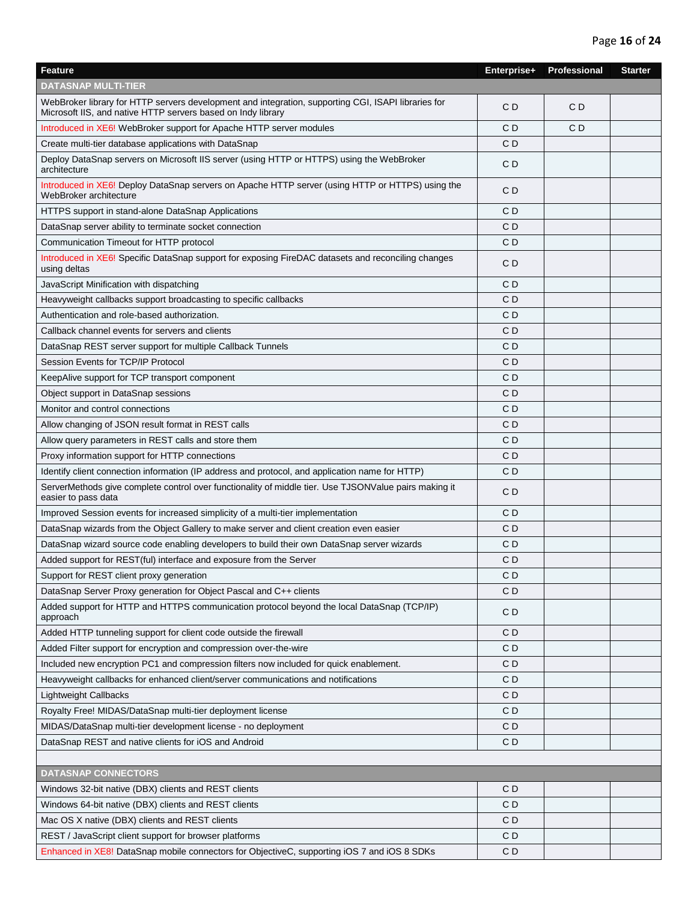| Feature                                                                                                                                                             | Enterprise+    | Professional | <b>Starter</b> |
|---------------------------------------------------------------------------------------------------------------------------------------------------------------------|----------------|--------------|----------------|
| DATASNAP MULTI-TIER                                                                                                                                                 |                |              |                |
| WebBroker library for HTTP servers development and integration, supporting CGI, ISAPI libraries for<br>Microsoft IIS, and native HTTP servers based on Indy library | CD             | CD           |                |
| Introduced in XE6! WebBroker support for Apache HTTP server modules                                                                                                 | C <sub>D</sub> | CD           |                |
| Create multi-tier database applications with DataSnap                                                                                                               | C <sub>D</sub> |              |                |
| Deploy DataSnap servers on Microsoft IIS server (using HTTP or HTTPS) using the WebBroker<br>architecture                                                           | C <sub>D</sub> |              |                |
| Introduced in XE6! Deploy DataSnap servers on Apache HTTP server (using HTTP or HTTPS) using the<br>WebBroker architecture                                          | CD             |              |                |
| HTTPS support in stand-alone DataSnap Applications                                                                                                                  | CD             |              |                |
| DataSnap server ability to terminate socket connection                                                                                                              | C <sub>D</sub> |              |                |
| Communication Timeout for HTTP protocol                                                                                                                             | C D            |              |                |
| Introduced in XE6! Specific DataSnap support for exposing FireDAC datasets and reconciling changes<br>using deltas                                                  | C <sub>D</sub> |              |                |
| JavaScript Minification with dispatching                                                                                                                            | C D            |              |                |
| Heavyweight callbacks support broadcasting to specific callbacks                                                                                                    | CD             |              |                |
| Authentication and role-based authorization.                                                                                                                        | C <sub>D</sub> |              |                |
| Callback channel events for servers and clients                                                                                                                     | CD             |              |                |
| DataSnap REST server support for multiple Callback Tunnels                                                                                                          | CD             |              |                |
| Session Events for TCP/IP Protocol                                                                                                                                  | C <sub>D</sub> |              |                |
| KeepAlive support for TCP transport component                                                                                                                       | C D            |              |                |
| Object support in DataSnap sessions                                                                                                                                 | CD             |              |                |
| Monitor and control connections                                                                                                                                     | C D            |              |                |
| Allow changing of JSON result format in REST calls                                                                                                                  | CD             |              |                |
| Allow query parameters in REST calls and store them                                                                                                                 | C D            |              |                |
| Proxy information support for HTTP connections                                                                                                                      | CD             |              |                |
| Identify client connection information (IP address and protocol, and application name for HTTP)                                                                     | C <sub>D</sub> |              |                |
| ServerMethods give complete control over functionality of middle tier. Use TJSONValue pairs making it<br>easier to pass data                                        | CD             |              |                |
| Improved Session events for increased simplicity of a multi-tier implementation                                                                                     | CD             |              |                |
| DataSnap wizards from the Object Gallery to make server and client creation even easier                                                                             | CD             |              |                |
| DataSnap wizard source code enabling developers to build their own DataSnap server wizards                                                                          | CD             |              |                |
| Added support for REST(ful) interface and exposure from the Server                                                                                                  | CD             |              |                |
| Support for REST client proxy generation                                                                                                                            | C <sub>D</sub> |              |                |
| DataSnap Server Proxy generation for Object Pascal and C++ clients                                                                                                  | CD             |              |                |
| Added support for HTTP and HTTPS communication protocol beyond the local DataSnap (TCP/IP)<br>approach                                                              | CD             |              |                |
| Added HTTP tunneling support for client code outside the firewall                                                                                                   | CD             |              |                |
| Added Filter support for encryption and compression over-the-wire                                                                                                   | CD             |              |                |
| Included new encryption PC1 and compression filters now included for quick enablement.                                                                              | CD             |              |                |
| Heavyweight callbacks for enhanced client/server communications and notifications                                                                                   | C <sub>D</sub> |              |                |
| Lightweight Callbacks                                                                                                                                               | CD             |              |                |
| Royalty Free! MIDAS/DataSnap multi-tier deployment license                                                                                                          | CD             |              |                |
| MIDAS/DataSnap multi-tier development license - no deployment                                                                                                       | CD             |              |                |
| DataSnap REST and native clients for iOS and Android                                                                                                                | CD             |              |                |
|                                                                                                                                                                     |                |              |                |
| <b>DATASNAP CONNECTORS</b>                                                                                                                                          |                |              |                |
| Windows 32-bit native (DBX) clients and REST clients                                                                                                                | CD             |              |                |
| Windows 64-bit native (DBX) clients and REST clients                                                                                                                | CD             |              |                |
| Mac OS X native (DBX) clients and REST clients                                                                                                                      | CD             |              |                |
| REST / JavaScript client support for browser platforms                                                                                                              | CD             |              |                |
| Enhanced in XE8! DataSnap mobile connectors for ObjectiveC, supporting iOS 7 and iOS 8 SDKs                                                                         | CD             |              |                |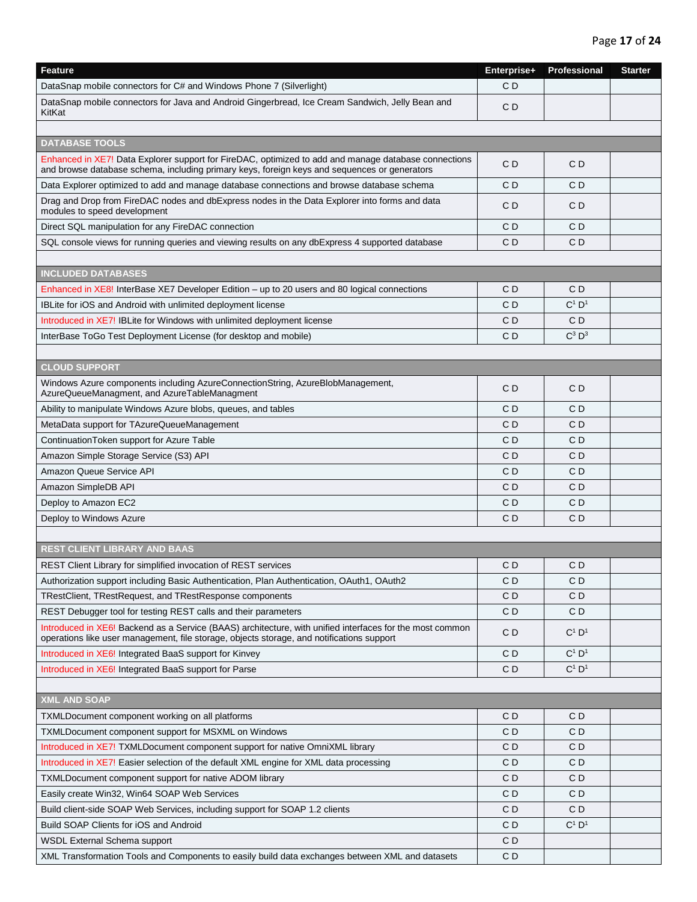| Feature                                                                                                                                                                                               | Enterprise+    | Professional   | <b>Starter</b> |
|-------------------------------------------------------------------------------------------------------------------------------------------------------------------------------------------------------|----------------|----------------|----------------|
| DataSnap mobile connectors for C# and Windows Phone 7 (Silverlight)                                                                                                                                   | C <sub>D</sub> |                |                |
| DataSnap mobile connectors for Java and Android Gingerbread, Ice Cream Sandwich, Jelly Bean and<br>KitKat                                                                                             | C <sub>D</sub> |                |                |
|                                                                                                                                                                                                       |                |                |                |
| <b>DATABASE TOOLS</b>                                                                                                                                                                                 |                |                |                |
| Enhanced in XE7! Data Explorer support for FireDAC, optimized to add and manage database connections<br>and browse database schema, including primary keys, foreign keys and sequences or generators  | CD             | CD             |                |
| Data Explorer optimized to add and manage database connections and browse database schema                                                                                                             | C <sub>D</sub> | CD             |                |
| Drag and Drop from FireDAC nodes and dbExpress nodes in the Data Explorer into forms and data<br>modules to speed development                                                                         | C <sub>D</sub> | CD             |                |
| Direct SQL manipulation for any FireDAC connection                                                                                                                                                    | CD             | CD             |                |
| SQL console views for running queries and viewing results on any dbExpress 4 supported database                                                                                                       | CD             | CD             |                |
|                                                                                                                                                                                                       |                |                |                |
| <b>INCLUDED DATABASES</b>                                                                                                                                                                             |                |                |                |
| Enhanced in XE8! InterBase XE7 Developer Edition - up to 20 users and 80 logical connections                                                                                                          | C <sub>D</sub> | CD             |                |
| IBLite for iOS and Android with unlimited deployment license                                                                                                                                          | CD             | $C^1$ $D^1$    |                |
| Introduced in XE7! IBLite for Windows with unlimited deployment license                                                                                                                               | CD             | CD             |                |
| InterBase ToGo Test Deployment License (for desktop and mobile)                                                                                                                                       | C <sub>D</sub> | $C^3$ $D^3$    |                |
|                                                                                                                                                                                                       |                |                |                |
| <b>CLOUD SUPPORT</b>                                                                                                                                                                                  |                |                |                |
| Windows Azure components including AzureConnectionString, AzureBlobManagement,<br>AzureQueueManagment, and AzureTableManagment                                                                        | C <sub>D</sub> | CD             |                |
| Ability to manipulate Windows Azure blobs, queues, and tables                                                                                                                                         | C <sub>D</sub> | CD             |                |
| MetaData support for TAzureQueueManagement                                                                                                                                                            | CD             | CD             |                |
| ContinuationToken support for Azure Table                                                                                                                                                             | CD             | CD             |                |
| Amazon Simple Storage Service (S3) API                                                                                                                                                                | CD             | CD             |                |
| Amazon Queue Service API                                                                                                                                                                              | CD             | CD             |                |
| Amazon SimpleDB API                                                                                                                                                                                   | CD             | CD             |                |
| Deploy to Amazon EC2                                                                                                                                                                                  | C <sub>D</sub> | CD             |                |
| Deploy to Windows Azure                                                                                                                                                                               | C <sub>D</sub> | C <sub>D</sub> |                |
|                                                                                                                                                                                                       |                |                |                |
| <b>REST CLIENT LIBRARY AND BAAS</b>                                                                                                                                                                   |                |                |                |
| REST Client Library for simplified invocation of REST services                                                                                                                                        | CD             | CD             |                |
| Authorization support including Basic Authentication, Plan Authentication, OAuth1, OAuth2                                                                                                             | C <sub>D</sub> | CD             |                |
| TRestClient, TRestRequest, and TRestResponse components                                                                                                                                               | CD             | C D            |                |
| REST Debugger tool for testing REST calls and their parameters                                                                                                                                        | CD             | CD             |                |
| Introduced in XE6! Backend as a Service (BAAS) architecture, with unified interfaces for the most common<br>operations like user management, file storage, objects storage, and notifications support | CD             | $C^1$ $D^1$    |                |
| Introduced in XE6! Integrated BaaS support for Kinvey                                                                                                                                                 | CD             | $C^1$ $D^1$    |                |
| Introduced in XE6! Integrated BaaS support for Parse                                                                                                                                                  | CD             | $C^1$ $D^1$    |                |
|                                                                                                                                                                                                       |                |                |                |
| <b>XML AND SOAP</b>                                                                                                                                                                                   |                |                |                |
| TXMLDocument component working on all platforms                                                                                                                                                       | CD             | CD             |                |
| TXMLDocument component support for MSXML on Windows                                                                                                                                                   | CD             | C D            |                |
| Introduced in XE7! TXMLDocument component support for native OmniXML library                                                                                                                          | CD             | CD             |                |
| Introduced in XE7! Easier selection of the default XML engine for XML data processing                                                                                                                 | CD             | CD             |                |
| TXMLDocument component support for native ADOM library                                                                                                                                                | CD             | CD             |                |
| Easily create Win32, Win64 SOAP Web Services                                                                                                                                                          | C D            | C D            |                |
| Build client-side SOAP Web Services, including support for SOAP 1.2 clients                                                                                                                           | CD             | CD             |                |
| Build SOAP Clients for iOS and Android                                                                                                                                                                | CD             | $C^1$ $D^1$    |                |
| WSDL External Schema support                                                                                                                                                                          | CD             |                |                |
| XML Transformation Tools and Components to easily build data exchanges between XML and datasets                                                                                                       | CD             |                |                |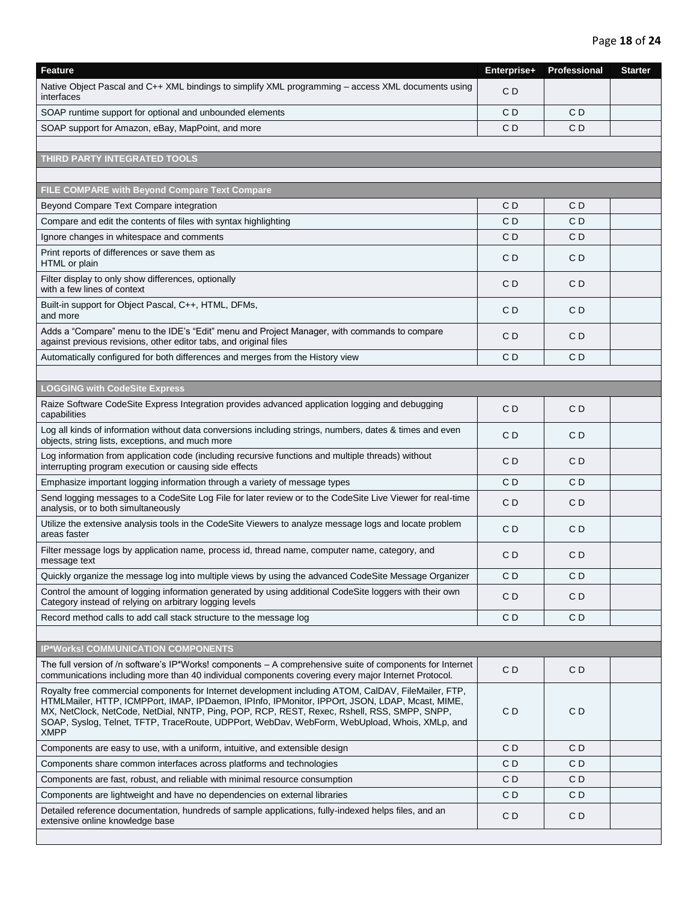| <b>Feature</b>                                                                                                                                                                                                                                                                                                                                                                                                         | Enterprise+    | Professional   | <b>Starter</b> |
|------------------------------------------------------------------------------------------------------------------------------------------------------------------------------------------------------------------------------------------------------------------------------------------------------------------------------------------------------------------------------------------------------------------------|----------------|----------------|----------------|
| Native Object Pascal and C++ XML bindings to simplify XML programming - access XML documents using<br>interfaces                                                                                                                                                                                                                                                                                                       | CD             |                |                |
| SOAP runtime support for optional and unbounded elements                                                                                                                                                                                                                                                                                                                                                               | CD             | C <sub>D</sub> |                |
| SOAP support for Amazon, eBay, MapPoint, and more                                                                                                                                                                                                                                                                                                                                                                      | C <sub>D</sub> | C <sub>D</sub> |                |
|                                                                                                                                                                                                                                                                                                                                                                                                                        |                |                |                |
| THIRD PARTY INTEGRATED TOOLS                                                                                                                                                                                                                                                                                                                                                                                           |                |                |                |
|                                                                                                                                                                                                                                                                                                                                                                                                                        |                |                |                |
| FILE COMPARE with Beyond Compare Text Compare                                                                                                                                                                                                                                                                                                                                                                          |                |                |                |
| Beyond Compare Text Compare integration                                                                                                                                                                                                                                                                                                                                                                                | C D            | CD             |                |
| Compare and edit the contents of files with syntax highlighting                                                                                                                                                                                                                                                                                                                                                        | C D            | CD             |                |
| Ignore changes in whitespace and comments                                                                                                                                                                                                                                                                                                                                                                              | СD             | CD             |                |
| Print reports of differences or save them as<br>HTML or plain                                                                                                                                                                                                                                                                                                                                                          | C <sub>D</sub> | CD             |                |
| Filter display to only show differences, optionally<br>with a few lines of context                                                                                                                                                                                                                                                                                                                                     | СD             | CD             |                |
| Built-in support for Object Pascal, C++, HTML, DFMs,<br>and more                                                                                                                                                                                                                                                                                                                                                       | CD             | CD             |                |
| Adds a "Compare" menu to the IDE's "Edit" menu and Project Manager, with commands to compare<br>against previous revisions, other editor tabs, and original files                                                                                                                                                                                                                                                      | CD             | CD             |                |
| Automatically configured for both differences and merges from the History view                                                                                                                                                                                                                                                                                                                                         | C D            | CD             |                |
|                                                                                                                                                                                                                                                                                                                                                                                                                        |                |                |                |
| <b>LOGGING with CodeSite Express</b>                                                                                                                                                                                                                                                                                                                                                                                   |                |                |                |
| Raize Software CodeSite Express Integration provides advanced application logging and debugging<br>capabilities                                                                                                                                                                                                                                                                                                        | СD             | CD             |                |
| Log all kinds of information without data conversions including strings, numbers, dates & times and even<br>objects, string lists, exceptions, and much more                                                                                                                                                                                                                                                           | CD             | CD             |                |
| Log information from application code (including recursive functions and multiple threads) without<br>interrupting program execution or causing side effects                                                                                                                                                                                                                                                           | C <sub>D</sub> | C <sub>D</sub> |                |
| Emphasize important logging information through a variety of message types                                                                                                                                                                                                                                                                                                                                             | CD             | CD             |                |
| Send logging messages to a CodeSite Log File for later review or to the CodeSite Live Viewer for real-time<br>analysis, or to both simultaneously                                                                                                                                                                                                                                                                      | СD             | CD             |                |
| Utilize the extensive analysis tools in the CodeSite Viewers to analyze message logs and locate problem<br>areas faster                                                                                                                                                                                                                                                                                                | CD             | CD             |                |
| Filter message logs by application name, process id, thread name, computer name, category, and<br>message text                                                                                                                                                                                                                                                                                                         | СD             | CD             |                |
| Quickly organize the message log into multiple views by using the advanced CodeSite Message Organizer                                                                                                                                                                                                                                                                                                                  | C <sub>D</sub> | C <sub>D</sub> |                |
| Control the amount of logging information generated by using additional CodeSite loggers with their own<br>Category instead of relying on arbitrary logging levels                                                                                                                                                                                                                                                     | CD             | CD             |                |
| Record method calls to add call stack structure to the message log                                                                                                                                                                                                                                                                                                                                                     | CD             | CD             |                |
|                                                                                                                                                                                                                                                                                                                                                                                                                        |                |                |                |
| <b>IP*Works! COMMUNICATION COMPONENTS</b>                                                                                                                                                                                                                                                                                                                                                                              |                |                |                |
| The full version of /n software's IP*Works! components - A comprehensive suite of components for Internet<br>communications including more than 40 individual components covering every major Internet Protocol.                                                                                                                                                                                                       | C <sub>D</sub> | C <sub>D</sub> |                |
| Royalty free commercial components for Internet development including ATOM, CalDAV, FileMailer, FTP,<br>HTMLMailer, HTTP, ICMPPort, IMAP, IPDaemon, IPInfo, IPMonitor, IPPOrt, JSON, LDAP, Mcast, MIME,<br>MX, NetClock, NetCode, NetDial, NNTP, Ping, POP, RCP, REST, Rexec, Rshell, RSS, SMPP, SNPP,<br>SOAP, Syslog, Telnet, TFTP, TraceRoute, UDPPort, WebDav, WebForm, WebUpload, Whois, XMLp, and<br><b>XMPP</b> | C <sub>D</sub> | CD             |                |
| Components are easy to use, with a uniform, intuitive, and extensible design                                                                                                                                                                                                                                                                                                                                           | C <sub>D</sub> | CD             |                |
| Components share common interfaces across platforms and technologies                                                                                                                                                                                                                                                                                                                                                   | CD             | CD             |                |
| Components are fast, robust, and reliable with minimal resource consumption                                                                                                                                                                                                                                                                                                                                            | CD             | CD             |                |
| Components are lightweight and have no dependencies on external libraries                                                                                                                                                                                                                                                                                                                                              | CD             | CD             |                |
| Detailed reference documentation, hundreds of sample applications, fully-indexed helps files, and an<br>extensive online knowledge base                                                                                                                                                                                                                                                                                | CD             | CD             |                |
|                                                                                                                                                                                                                                                                                                                                                                                                                        |                |                |                |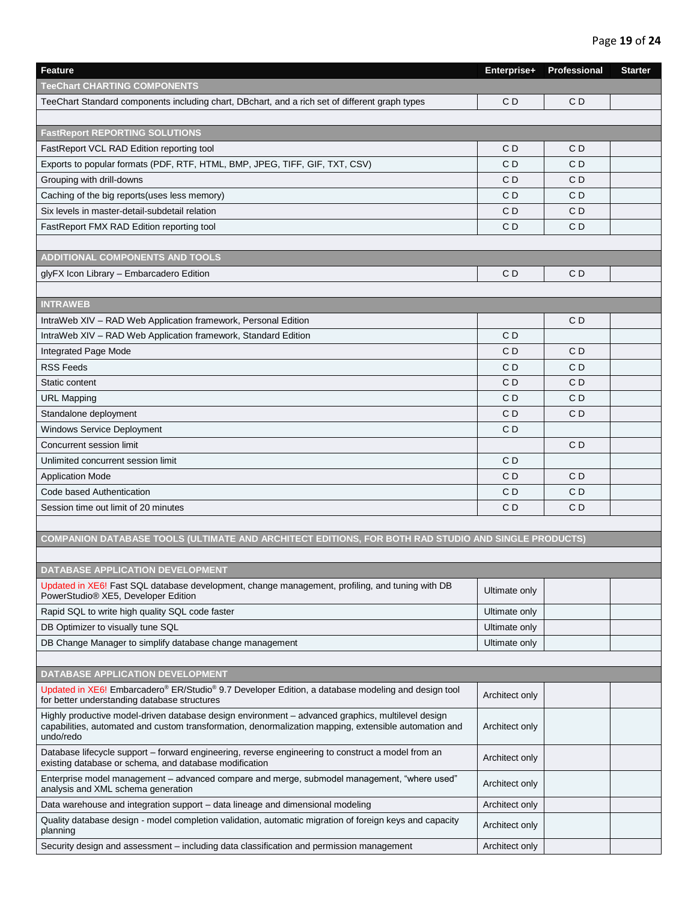## Page **19** of **24**

| <b>Feature</b>                                                                                                                                                                                                          | Enterprise+    | Professional   | <b>Starter</b> |
|-------------------------------------------------------------------------------------------------------------------------------------------------------------------------------------------------------------------------|----------------|----------------|----------------|
| <b>TeeChart CHARTING COMPONENTS</b>                                                                                                                                                                                     |                |                |                |
| TeeChart Standard components including chart, DBchart, and a rich set of different graph types                                                                                                                          | CD             | CD             |                |
|                                                                                                                                                                                                                         |                |                |                |
| <b>FastReport REPORTING SOLUTIONS</b>                                                                                                                                                                                   |                |                |                |
| FastReport VCL RAD Edition reporting tool                                                                                                                                                                               | CD             | CD             |                |
| Exports to popular formats (PDF, RTF, HTML, BMP, JPEG, TIFF, GIF, TXT, CSV)                                                                                                                                             | CD             | C <sub>D</sub> |                |
| Grouping with drill-downs                                                                                                                                                                                               | C <sub>D</sub> | C <sub>D</sub> |                |
| Caching of the big reports(uses less memory)                                                                                                                                                                            | C <sub>D</sub> | C <sub>D</sub> |                |
| Six levels in master-detail-subdetail relation                                                                                                                                                                          | CD             | CD             |                |
| FastReport FMX RAD Edition reporting tool                                                                                                                                                                               | C <sub>D</sub> | C <sub>D</sub> |                |
|                                                                                                                                                                                                                         |                |                |                |
| <b>ADDITIONAL COMPONENTS AND TOOLS</b>                                                                                                                                                                                  |                |                |                |
| glyFX Icon Library - Embarcadero Edition                                                                                                                                                                                | CD             | C <sub>D</sub> |                |
|                                                                                                                                                                                                                         |                |                |                |
| <b>INTRAWEB</b>                                                                                                                                                                                                         |                |                |                |
| IntraWeb XIV - RAD Web Application framework, Personal Edition                                                                                                                                                          |                | CD             |                |
| IntraWeb XIV - RAD Web Application framework, Standard Edition                                                                                                                                                          | C D            |                |                |
| Integrated Page Mode                                                                                                                                                                                                    | C D            | C D            |                |
| <b>RSS Feeds</b>                                                                                                                                                                                                        | CD             | CD             |                |
| Static content                                                                                                                                                                                                          | C <sub>D</sub> | C <sub>D</sub> |                |
| <b>URL Mapping</b>                                                                                                                                                                                                      | C <sub>D</sub> | C <sub>D</sub> |                |
| Standalone deployment                                                                                                                                                                                                   | C <sub>D</sub> | C <sub>D</sub> |                |
| <b>Windows Service Deployment</b>                                                                                                                                                                                       | C <sub>D</sub> |                |                |
| Concurrent session limit                                                                                                                                                                                                |                | C <sub>D</sub> |                |
| Unlimited concurrent session limit                                                                                                                                                                                      | C D            |                |                |
| <b>Application Mode</b>                                                                                                                                                                                                 | C <sub>D</sub> | C <sub>D</sub> |                |
| Code based Authentication                                                                                                                                                                                               | C <sub>D</sub> | C <sub>D</sub> |                |
| Session time out limit of 20 minutes                                                                                                                                                                                    | C <sub>D</sub> | C <sub>D</sub> |                |
|                                                                                                                                                                                                                         |                |                |                |
| COMPANION DATABASE TOOLS (ULTIMATE AND ARCHITECT EDITIONS, FOR BOTH RAD STUDIO AND SINGLE PRODUCTS)                                                                                                                     |                |                |                |
|                                                                                                                                                                                                                         |                |                |                |
| DATABASE APPLICATION DEVELOPMENT                                                                                                                                                                                        |                |                |                |
| Updated in XE6! Fast SQL database development, change management, profiling, and tuning with DB<br>PowerStudio® XE5, Developer Edition                                                                                  | Ultimate only  |                |                |
| Rapid SQL to write high quality SQL code faster                                                                                                                                                                         | Ultimate only  |                |                |
| DB Optimizer to visually tune SQL                                                                                                                                                                                       | Ultimate only  |                |                |
| DB Change Manager to simplify database change management                                                                                                                                                                | Ultimate only  |                |                |
|                                                                                                                                                                                                                         |                |                |                |
| DATABASE APPLICATION DEVELOPMENT                                                                                                                                                                                        |                |                |                |
| Updated in XE6! Embarcadero® ER/Studio® 9.7 Developer Edition, a database modeling and design tool<br>for better understanding database structures                                                                      | Architect only |                |                |
| Highly productive model-driven database design environment - advanced graphics, multilevel design<br>capabilities, automated and custom transformation, denormalization mapping, extensible automation and<br>undo/redo | Architect only |                |                |
| Database lifecycle support - forward engineering, reverse engineering to construct a model from an<br>existing database or schema, and database modification                                                            | Architect only |                |                |
| Enterprise model management – advanced compare and merge, submodel management, "where used"<br>analysis and XML schema generation                                                                                       | Architect only |                |                |
| Data warehouse and integration support – data lineage and dimensional modeling                                                                                                                                          | Architect only |                |                |
| Quality database design - model completion validation, automatic migration of foreign keys and capacity<br>planning                                                                                                     | Architect only |                |                |
| Security design and assessment – including data classification and permission management                                                                                                                                | Architect only |                |                |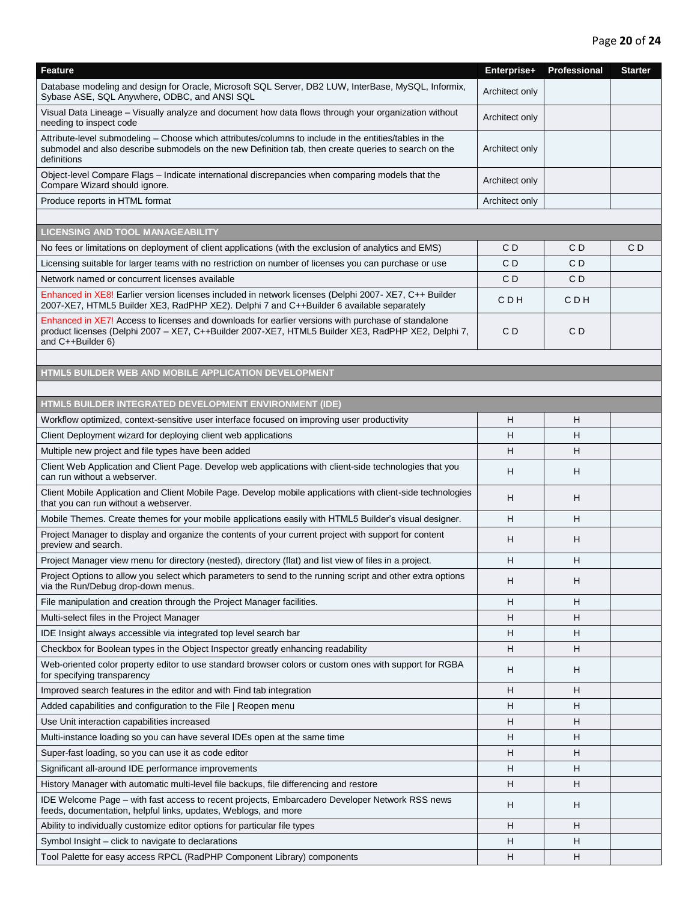| Feature                                                                                                                                                                                                                       | Enterprise+    | Professional | <b>Starter</b> |
|-------------------------------------------------------------------------------------------------------------------------------------------------------------------------------------------------------------------------------|----------------|--------------|----------------|
| Database modeling and design for Oracle, Microsoft SQL Server, DB2 LUW, InterBase, MySQL, Informix,<br>Sybase ASE, SQL Anywhere, ODBC, and ANSI SQL                                                                           | Architect only |              |                |
| Visual Data Lineage – Visually analyze and document how data flows through your organization without<br>needing to inspect code                                                                                               | Architect only |              |                |
| Attribute-level submodeling - Choose which attributes/columns to include in the entities/tables in the<br>submodel and also describe submodels on the new Definition tab, then create queries to search on the<br>definitions | Architect only |              |                |
| Object-level Compare Flags – Indicate international discrepancies when comparing models that the<br>Compare Wizard should ignore.                                                                                             | Architect only |              |                |
| Produce reports in HTML format                                                                                                                                                                                                | Architect only |              |                |
|                                                                                                                                                                                                                               |                |              |                |
| <b>LICENSING AND TOOL MANAGEABILITY</b>                                                                                                                                                                                       |                |              |                |
| No fees or limitations on deployment of client applications (with the exclusion of analytics and EMS)                                                                                                                         | C D            | C D          | CD             |
| Licensing suitable for larger teams with no restriction on number of licenses you can purchase or use                                                                                                                         | C D            | C D          |                |
| Network named or concurrent licenses available                                                                                                                                                                                | CD             | CD           |                |
| Enhanced in XE8! Earlier version licenses included in network licenses (Delphi 2007-XE7, C++ Builder<br>2007-XE7, HTML5 Builder XE3, RadPHP XE2). Delphi 7 and C++Builder 6 available separately                              | C D H          | C D H        |                |
| Enhanced in XE7! Access to licenses and downloads for earlier versions with purchase of standalone<br>product licenses (Delphi 2007 - XE7, C++Builder 2007-XE7, HTML5 Builder XE3, RadPHP XE2, Delphi 7,<br>and C++Builder 6) | C D            | C D          |                |
|                                                                                                                                                                                                                               |                |              |                |
| HTML5 BUILDER WEB AND MOBILE APPLICATION DEVELOPMENT                                                                                                                                                                          |                |              |                |
|                                                                                                                                                                                                                               |                |              |                |
| HTML5 BUILDER INTEGRATED DEVELOPMENT ENVIRONMENT (IDE)                                                                                                                                                                        |                |              |                |
| Workflow optimized, context-sensitive user interface focused on improving user productivity                                                                                                                                   | н              | н            |                |
| Client Deployment wizard for deploying client web applications                                                                                                                                                                | Н              | н            |                |
| Multiple new project and file types have been added                                                                                                                                                                           | н              | н            |                |
| Client Web Application and Client Page. Develop web applications with client-side technologies that you<br>can run without a webserver.                                                                                       | н              | н            |                |
| Client Mobile Application and Client Mobile Page. Develop mobile applications with client-side technologies<br>that you can run without a webserver.                                                                          | н              | н            |                |
| Mobile Themes. Create themes for your mobile applications easily with HTML5 Builder's visual designer.                                                                                                                        | н              | н            |                |
| Project Manager to display and organize the contents of your current project with support for content<br>preview and search.                                                                                                  | н              | н            |                |
| Project Manager view menu for directory (nested), directory (flat) and list view of files in a project.                                                                                                                       | н              | Н            |                |
| Project Options to allow you select which parameters to send to the running script and other extra options<br>via the Run/Debug drop-down menus.                                                                              | н              | н            |                |
| File manipulation and creation through the Project Manager facilities.                                                                                                                                                        | н              | н            |                |
| Multi-select files in the Project Manager                                                                                                                                                                                     | н              | н            |                |
| IDE Insight always accessible via integrated top level search bar                                                                                                                                                             | н              | H.           |                |
| Checkbox for Boolean types in the Object Inspector greatly enhancing readability                                                                                                                                              | H              | H.           |                |
| Web-oriented color property editor to use standard browser colors or custom ones with support for RGBA<br>for specifying transparency                                                                                         | н              | н            |                |
| Improved search features in the editor and with Find tab integration                                                                                                                                                          | н              | Н            |                |
| Added capabilities and configuration to the File   Reopen menu                                                                                                                                                                | н              | н            |                |
| Use Unit interaction capabilities increased                                                                                                                                                                                   | н              | н            |                |
| Multi-instance loading so you can have several IDEs open at the same time                                                                                                                                                     | H              | н            |                |
| Super-fast loading, so you can use it as code editor                                                                                                                                                                          | н              | н            |                |
| Significant all-around IDE performance improvements                                                                                                                                                                           | н              | н            |                |
| History Manager with automatic multi-level file backups, file differencing and restore                                                                                                                                        | н              | н            |                |
| IDE Welcome Page - with fast access to recent projects, Embarcadero Developer Network RSS news<br>feeds, documentation, helpful links, updates, Weblogs, and more                                                             | н              | н            |                |
| Ability to individually customize editor options for particular file types                                                                                                                                                    | н              | Н            |                |
| Symbol Insight - click to navigate to declarations                                                                                                                                                                            | н              | н            |                |
| Tool Palette for easy access RPCL (RadPHP Component Library) components                                                                                                                                                       | н              | н            |                |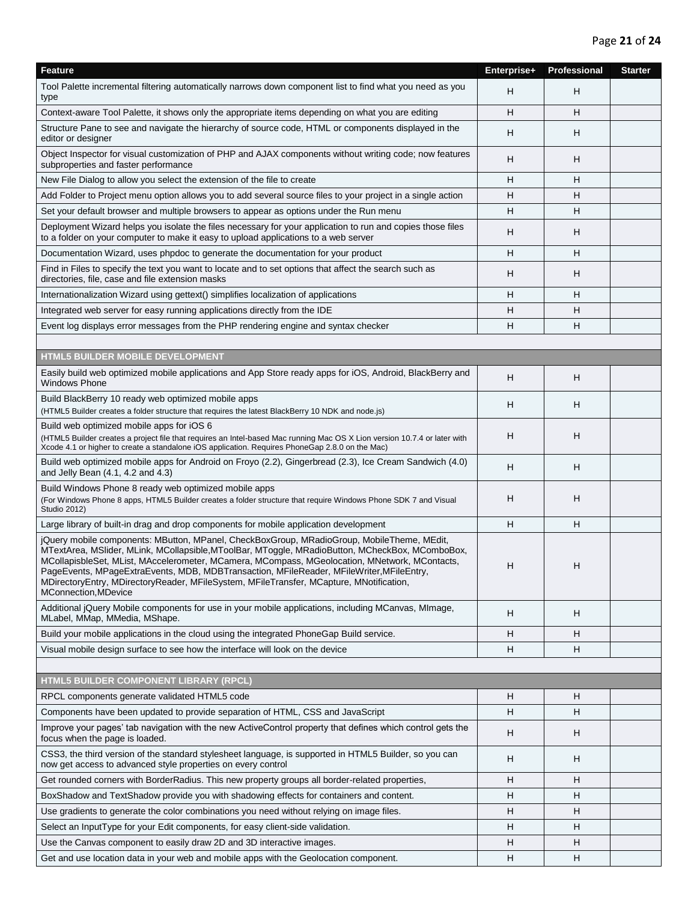| Feature                                                                                                                                                                                                                                                                                                                                                                                                                                                                                                              | Enterprise+ | Professional | <b>Starter</b> |
|----------------------------------------------------------------------------------------------------------------------------------------------------------------------------------------------------------------------------------------------------------------------------------------------------------------------------------------------------------------------------------------------------------------------------------------------------------------------------------------------------------------------|-------------|--------------|----------------|
| Tool Palette incremental filtering automatically narrows down component list to find what you need as you<br>type                                                                                                                                                                                                                                                                                                                                                                                                    | н           | н            |                |
| Context-aware Tool Palette, it shows only the appropriate items depending on what you are editing                                                                                                                                                                                                                                                                                                                                                                                                                    | н           | H            |                |
| Structure Pane to see and navigate the hierarchy of source code, HTML or components displayed in the<br>editor or designer                                                                                                                                                                                                                                                                                                                                                                                           | н           | H            |                |
| Object Inspector for visual customization of PHP and AJAX components without writing code; now features<br>subproperties and faster performance                                                                                                                                                                                                                                                                                                                                                                      | н           | н            |                |
| New File Dialog to allow you select the extension of the file to create                                                                                                                                                                                                                                                                                                                                                                                                                                              | H           | H            |                |
| Add Folder to Project menu option allows you to add several source files to your project in a single action                                                                                                                                                                                                                                                                                                                                                                                                          | н           | H            |                |
| Set your default browser and multiple browsers to appear as options under the Run menu                                                                                                                                                                                                                                                                                                                                                                                                                               | н           | H            |                |
| Deployment Wizard helps you isolate the files necessary for your application to run and copies those files<br>to a folder on your computer to make it easy to upload applications to a web server                                                                                                                                                                                                                                                                                                                    | н           | H            |                |
| Documentation Wizard, uses phpdoc to generate the documentation for your product                                                                                                                                                                                                                                                                                                                                                                                                                                     | Н           | н            |                |
| Find in Files to specify the text you want to locate and to set options that affect the search such as<br>directories, file, case and file extension masks                                                                                                                                                                                                                                                                                                                                                           | н           | H            |                |
| Internationalization Wizard using gettext() simplifies localization of applications                                                                                                                                                                                                                                                                                                                                                                                                                                  | н           | H            |                |
| Integrated web server for easy running applications directly from the IDE                                                                                                                                                                                                                                                                                                                                                                                                                                            | н           | н            |                |
| Event log displays error messages from the PHP rendering engine and syntax checker                                                                                                                                                                                                                                                                                                                                                                                                                                   | н           | н            |                |
|                                                                                                                                                                                                                                                                                                                                                                                                                                                                                                                      |             |              |                |
| <b>HTML5 BUILDER MOBILE DEVELOPMENT</b>                                                                                                                                                                                                                                                                                                                                                                                                                                                                              |             |              |                |
| Easily build web optimized mobile applications and App Store ready apps for iOS, Android, BlackBerry and<br><b>Windows Phone</b>                                                                                                                                                                                                                                                                                                                                                                                     | H           | н            |                |
| Build BlackBerry 10 ready web optimized mobile apps<br>(HTML5 Builder creates a folder structure that requires the latest BlackBerry 10 NDK and node.js)                                                                                                                                                                                                                                                                                                                                                             | н           | H            |                |
| Build web optimized mobile apps for iOS 6<br>(HTML5 Builder creates a project file that requires an Intel-based Mac running Mac OS X Lion version 10.7.4 or later with<br>Xcode 4.1 or higher to create a standalone iOS application. Requires PhoneGap 2.8.0 on the Mac)                                                                                                                                                                                                                                            | н           | н            |                |
| Build web optimized mobile apps for Android on Froyo (2.2), Gingerbread (2.3), Ice Cream Sandwich (4.0)<br>and Jelly Bean (4.1, 4.2 and 4.3)                                                                                                                                                                                                                                                                                                                                                                         | Н           | н            |                |
| Build Windows Phone 8 ready web optimized mobile apps<br>(For Windows Phone 8 apps, HTML5 Builder creates a folder structure that require Windows Phone SDK 7 and Visual<br><b>Studio 2012)</b>                                                                                                                                                                                                                                                                                                                      | н           | н            |                |
| Large library of built-in drag and drop components for mobile application development                                                                                                                                                                                                                                                                                                                                                                                                                                | Н           | н            |                |
| jQuery mobile components: MButton, MPanel, CheckBoxGroup, MRadioGroup, MobileTheme, MEdit,<br>MTextArea, MSlider, MLink, MCollapsible, MToolBar, MToggle, MRadioButton, MCheckBox, MComboBox,<br>MCollapisbleSet, MList, MAccelerometer, MCamera, MCompass, MGeolocation, MNetwork, MContacts,<br>PageEvents, MPageExtraEvents, MDB, MDBTransaction, MFileReader, MFileWriter, MFileEntry,<br>MDirectoryEntry, MDirectoryReader, MFileSystem, MFileTransfer, MCapture, MNotification,<br><b>MConnection, MDevice</b> | н           | н            |                |
| Additional jQuery Mobile components for use in your mobile applications, including MCanvas, MImage,<br>MLabel, MMap, MMedia, MShape.                                                                                                                                                                                                                                                                                                                                                                                 | H           | н            |                |
| Build your mobile applications in the cloud using the integrated PhoneGap Build service.                                                                                                                                                                                                                                                                                                                                                                                                                             | H           | н            |                |
| Visual mobile design surface to see how the interface will look on the device                                                                                                                                                                                                                                                                                                                                                                                                                                        | H           | н            |                |
|                                                                                                                                                                                                                                                                                                                                                                                                                                                                                                                      |             |              |                |
| HTML5 BUILDER COMPONENT LIBRARY (RPCL)                                                                                                                                                                                                                                                                                                                                                                                                                                                                               |             |              |                |
| RPCL components generate validated HTML5 code                                                                                                                                                                                                                                                                                                                                                                                                                                                                        | H           | H            |                |
| Components have been updated to provide separation of HTML, CSS and JavaScript                                                                                                                                                                                                                                                                                                                                                                                                                                       | н           | H            |                |
| Improve your pages' tab navigation with the new ActiveControl property that defines which control gets the<br>focus when the page is loaded.                                                                                                                                                                                                                                                                                                                                                                         | н           | н            |                |
| CSS3, the third version of the standard stylesheet language, is supported in HTML5 Builder, so you can<br>now get access to advanced style properties on every control                                                                                                                                                                                                                                                                                                                                               | H           | H            |                |
| Get rounded corners with BorderRadius. This new property groups all border-related properties,                                                                                                                                                                                                                                                                                                                                                                                                                       | н           | H            |                |
| BoxShadow and TextShadow provide you with shadowing effects for containers and content.                                                                                                                                                                                                                                                                                                                                                                                                                              | H           | H            |                |
| Use gradients to generate the color combinations you need without relying on image files.                                                                                                                                                                                                                                                                                                                                                                                                                            | н           | н            |                |
| Select an InputType for your Edit components, for easy client-side validation.                                                                                                                                                                                                                                                                                                                                                                                                                                       | н           | н            |                |
| Use the Canvas component to easily draw 2D and 3D interactive images.                                                                                                                                                                                                                                                                                                                                                                                                                                                | н           | н            |                |
| Get and use location data in your web and mobile apps with the Geolocation component.                                                                                                                                                                                                                                                                                                                                                                                                                                | H           | H            |                |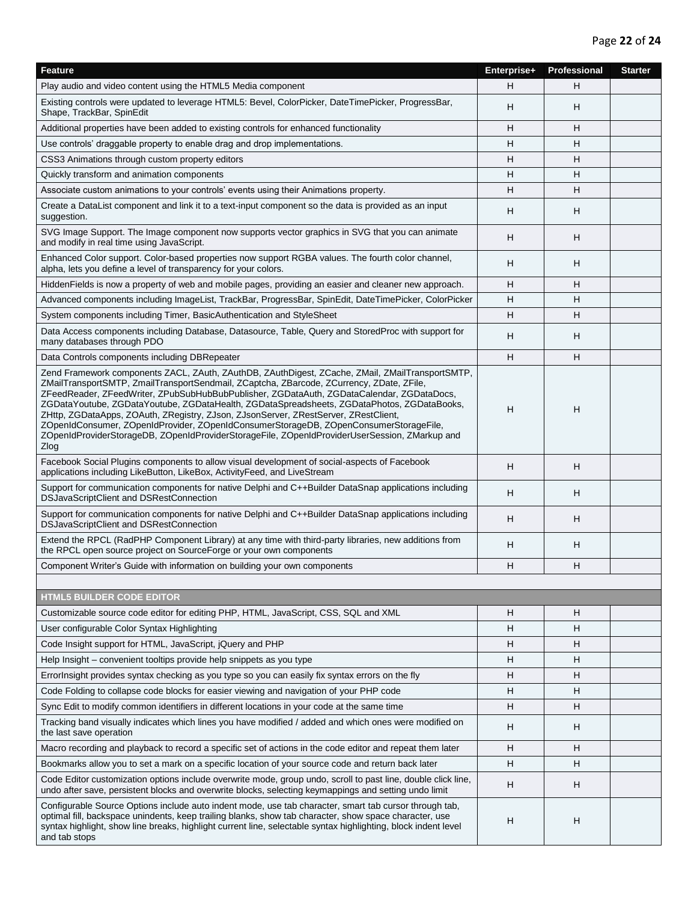| <b>Feature</b>                                                                                                                                                                                                                                                                                                                                                                                                                                                                                                                                                                                                                                                                  | Enterprise+ | Professional | <b>Starter</b> |
|---------------------------------------------------------------------------------------------------------------------------------------------------------------------------------------------------------------------------------------------------------------------------------------------------------------------------------------------------------------------------------------------------------------------------------------------------------------------------------------------------------------------------------------------------------------------------------------------------------------------------------------------------------------------------------|-------------|--------------|----------------|
| Play audio and video content using the HTML5 Media component                                                                                                                                                                                                                                                                                                                                                                                                                                                                                                                                                                                                                    | н           | H            |                |
| Existing controls were updated to leverage HTML5: Bevel, ColorPicker, DateTimePicker, ProgressBar,<br>Shape, TrackBar, SpinEdit                                                                                                                                                                                                                                                                                                                                                                                                                                                                                                                                                 | н           | н            |                |
| Additional properties have been added to existing controls for enhanced functionality                                                                                                                                                                                                                                                                                                                                                                                                                                                                                                                                                                                           | н           | H            |                |
| Use controls' draggable property to enable drag and drop implementations.                                                                                                                                                                                                                                                                                                                                                                                                                                                                                                                                                                                                       | н           | H            |                |
| CSS3 Animations through custom property editors                                                                                                                                                                                                                                                                                                                                                                                                                                                                                                                                                                                                                                 | н           | н            |                |
| Quickly transform and animation components                                                                                                                                                                                                                                                                                                                                                                                                                                                                                                                                                                                                                                      | н           | н            |                |
| Associate custom animations to your controls' events using their Animations property.                                                                                                                                                                                                                                                                                                                                                                                                                                                                                                                                                                                           | н           | H            |                |
| Create a DataList component and link it to a text-input component so the data is provided as an input<br>suggestion.                                                                                                                                                                                                                                                                                                                                                                                                                                                                                                                                                            | н           | н            |                |
| SVG Image Support. The Image component now supports vector graphics in SVG that you can animate<br>and modify in real time using JavaScript.                                                                                                                                                                                                                                                                                                                                                                                                                                                                                                                                    | н           | н            |                |
| Enhanced Color support. Color-based properties now support RGBA values. The fourth color channel,<br>alpha, lets you define a level of transparency for your colors.                                                                                                                                                                                                                                                                                                                                                                                                                                                                                                            | H           | H            |                |
| Hidden Fields is now a property of web and mobile pages, providing an easier and cleaner new approach.                                                                                                                                                                                                                                                                                                                                                                                                                                                                                                                                                                          | H           | н            |                |
| Advanced components including ImageList, TrackBar, ProgressBar, SpinEdit, DateTimePicker, ColorPicker                                                                                                                                                                                                                                                                                                                                                                                                                                                                                                                                                                           | н           | н            |                |
| System components including Timer, BasicAuthentication and StyleSheet                                                                                                                                                                                                                                                                                                                                                                                                                                                                                                                                                                                                           | H           | H            |                |
| Data Access components including Database, Datasource, Table, Query and StoredProc with support for<br>many databases through PDO                                                                                                                                                                                                                                                                                                                                                                                                                                                                                                                                               | H           | H            |                |
| Data Controls components including DBRepeater                                                                                                                                                                                                                                                                                                                                                                                                                                                                                                                                                                                                                                   | H           | H            |                |
| Zend Framework components ZACL, ZAuth, ZAuthDB, ZAuthDigest, ZCache, ZMail, ZMailTransportSMTP,<br>ZMailTransportSMTP, ZmailTransportSendmail, ZCaptcha, ZBarcode, ZCurrency, ZDate, ZFile,<br>ZFeedReader, ZFeedWriter, ZPubSubHubBubPublisher, ZGDataAuth, ZGDataCalendar, ZGDataDocs,<br>ZGDataYoutube, ZGDataYoutube, ZGDataHealth, ZGDataSpreadsheets, ZGDataPhotos, ZGDataBooks,<br>ZHttp, ZGDataApps, ZOAuth, ZRegistry, ZJson, ZJsonServer, ZRestServer, ZRestClient,<br>ZOpenIdConsumer, ZOpenIdProvider, ZOpenIdConsumerStorageDB, ZOpenConsumerStorageFile,<br>ZOpenIdProviderStorageDB, ZOpenIdProviderStorageFile, ZOpenIdProviderUserSession, ZMarkup and<br>Zlog | H           | н            |                |
| Facebook Social Plugins components to allow visual development of social-aspects of Facebook<br>applications including LikeButton, LikeBox, ActivityFeed, and LiveStream                                                                                                                                                                                                                                                                                                                                                                                                                                                                                                        | H           | H            |                |
| Support for communication components for native Delphi and C++Builder DataSnap applications including<br>DSJavaScriptClient and DSRestConnection                                                                                                                                                                                                                                                                                                                                                                                                                                                                                                                                | H           | H            |                |
| Support for communication components for native Delphi and C++Builder DataSnap applications including<br>DSJavaScriptClient and DSRestConnection                                                                                                                                                                                                                                                                                                                                                                                                                                                                                                                                | н           | н            |                |
| Extend the RPCL (RadPHP Component Library) at any time with third-party libraries, new additions from<br>the RPCL open source project on SourceForge or your own components                                                                                                                                                                                                                                                                                                                                                                                                                                                                                                     | H           | H            |                |
| Component Writer's Guide with information on building your own components                                                                                                                                                                                                                                                                                                                                                                                                                                                                                                                                                                                                       | н           | н            |                |
|                                                                                                                                                                                                                                                                                                                                                                                                                                                                                                                                                                                                                                                                                 |             |              |                |
| <b>HTML5 BUILDER CODE EDITOR</b>                                                                                                                                                                                                                                                                                                                                                                                                                                                                                                                                                                                                                                                |             |              |                |
| Customizable source code editor for editing PHP, HTML, JavaScript, CSS, SQL and XML                                                                                                                                                                                                                                                                                                                                                                                                                                                                                                                                                                                             | н           | н            |                |
| User configurable Color Syntax Highlighting                                                                                                                                                                                                                                                                                                                                                                                                                                                                                                                                                                                                                                     | H           | H            |                |
| Code Insight support for HTML, JavaScript, jQuery and PHP                                                                                                                                                                                                                                                                                                                                                                                                                                                                                                                                                                                                                       | H           | н            |                |
| Help Insight – convenient tooltips provide help snippets as you type                                                                                                                                                                                                                                                                                                                                                                                                                                                                                                                                                                                                            | H           | H            |                |
| ErrorInsight provides syntax checking as you type so you can easily fix syntax errors on the fly                                                                                                                                                                                                                                                                                                                                                                                                                                                                                                                                                                                | н           | н            |                |
| Code Folding to collapse code blocks for easier viewing and navigation of your PHP code                                                                                                                                                                                                                                                                                                                                                                                                                                                                                                                                                                                         | н           | H            |                |
| Sync Edit to modify common identifiers in different locations in your code at the same time                                                                                                                                                                                                                                                                                                                                                                                                                                                                                                                                                                                     | H           | H            |                |
| Tracking band visually indicates which lines you have modified / added and which ones were modified on<br>the last save operation                                                                                                                                                                                                                                                                                                                                                                                                                                                                                                                                               | н           | н            |                |
| Macro recording and playback to record a specific set of actions in the code editor and repeat them later                                                                                                                                                                                                                                                                                                                                                                                                                                                                                                                                                                       | H           | н            |                |
| Bookmarks allow you to set a mark on a specific location of your source code and return back later                                                                                                                                                                                                                                                                                                                                                                                                                                                                                                                                                                              | н           | H            |                |
| Code Editor customization options include overwrite mode, group undo, scroll to past line, double click line,<br>undo after save, persistent blocks and overwrite blocks, selecting keymappings and setting undo limit                                                                                                                                                                                                                                                                                                                                                                                                                                                          | н           | н            |                |
| Configurable Source Options include auto indent mode, use tab character, smart tab cursor through tab,<br>optimal fill, backspace unindents, keep trailing blanks, show tab character, show space character, use<br>syntax highlight, show line breaks, highlight current line, selectable syntax highlighting, block indent level<br>and tab stops                                                                                                                                                                                                                                                                                                                             | н           | H            |                |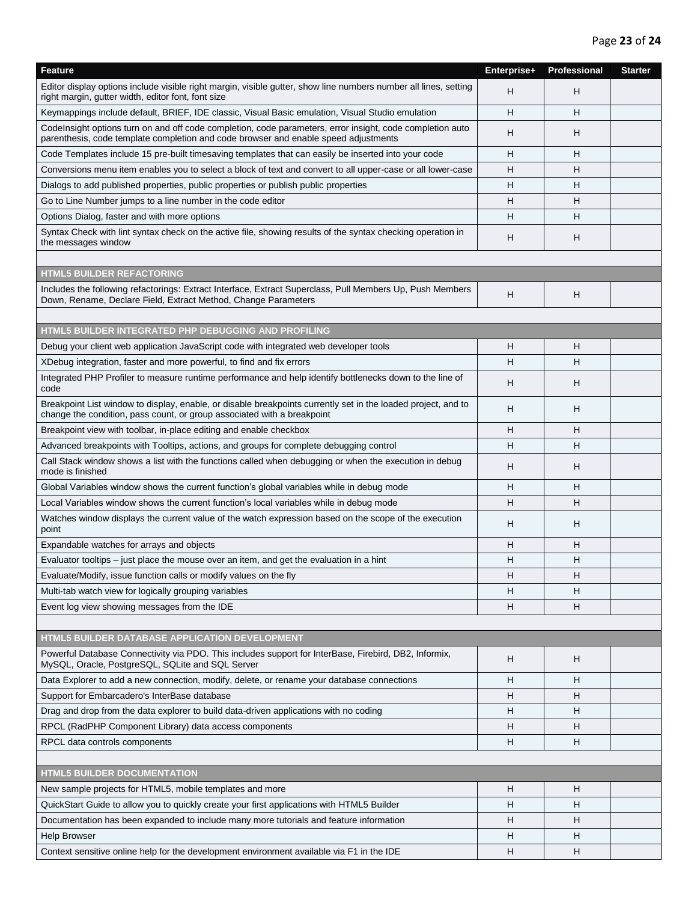| Feature                                                                                                                                                                                          | Enterprise+ | Professional | <b>Starter</b> |
|--------------------------------------------------------------------------------------------------------------------------------------------------------------------------------------------------|-------------|--------------|----------------|
| Editor display options include visible right margin, visible gutter, show line numbers number all lines, setting<br>right margin, gutter width, editor font, font size                           | H           | н            |                |
| Keymappings include default, BRIEF, IDE classic, Visual Basic emulation, Visual Studio emulation                                                                                                 | H           | н            |                |
| Codelnsight options turn on and off code completion, code parameters, error insight, code completion auto<br>parenthesis, code template completion and code browser and enable speed adjustments | н           | H            |                |
| Code Templates include 15 pre-built timesaving templates that can easily be inserted into your code                                                                                              | н           | н            |                |
| Conversions menu item enables you to select a block of text and convert to all upper-case or all lower-case                                                                                      | н           | H            |                |
| Dialogs to add published properties, public properties or publish public properties                                                                                                              | H           | H            |                |
| Go to Line Number jumps to a line number in the code editor                                                                                                                                      | H           | н            |                |
| Options Dialog, faster and with more options                                                                                                                                                     | н           | н            |                |
| Syntax Check with lint syntax check on the active file, showing results of the syntax checking operation in<br>the messages window                                                               | н           | н            |                |
|                                                                                                                                                                                                  |             |              |                |
| <b>HTML5 BUILDER REFACTORING</b>                                                                                                                                                                 |             |              |                |
| Includes the following refactorings: Extract Interface, Extract Superclass, Pull Members Up, Push Members<br>Down, Rename, Declare Field, Extract Method, Change Parameters                      | н           | H            |                |
|                                                                                                                                                                                                  |             |              |                |
| HTML5 BUILDER INTEGRATED PHP DEBUGGING AND PROFILING                                                                                                                                             |             |              |                |
| Debug your client web application JavaScript code with integrated web developer tools                                                                                                            | н           | н            |                |
| XDebug integration, faster and more powerful, to find and fix errors                                                                                                                             | н           | н            |                |
| Integrated PHP Profiler to measure runtime performance and help identify bottlenecks down to the line of<br>code                                                                                 | н           | H            |                |
| Breakpoint List window to display, enable, or disable breakpoints currently set in the loaded project, and to<br>change the condition, pass count, or group associated with a breakpoint         | H           | H            |                |
| Breakpoint view with toolbar, in-place editing and enable checkbox                                                                                                                               | н           | н            |                |
| Advanced breakpoints with Tooltips, actions, and groups for complete debugging control                                                                                                           | H           | н            |                |
| Call Stack window shows a list with the functions called when debugging or when the execution in debug<br>mode is finished                                                                       | н           | H            |                |
| Global Variables window shows the current function's global variables while in debug mode                                                                                                        | Н           | н            |                |
| Local Variables window shows the current function's local variables while in debug mode                                                                                                          | н           | H            |                |
| Watches window displays the current value of the watch expression based on the scope of the execution<br>point                                                                                   | H           | H            |                |
| Expandable watches for arrays and objects                                                                                                                                                        | н           | н            |                |
| Evaluator tooltips – just place the mouse over an item, and get the evaluation in a hint                                                                                                         | н           | н            |                |
| Evaluate/Modify, issue function calls or modify values on the fly                                                                                                                                | Н           | Н            |                |
| Multi-tab watch view for logically grouping variables                                                                                                                                            | н           | н            |                |
| Event log view showing messages from the IDE                                                                                                                                                     | H           | H            |                |
|                                                                                                                                                                                                  |             |              |                |
| HTML5 BUILDER DATABASE APPLICATION DEVELOPMENT                                                                                                                                                   |             |              |                |
| Powerful Database Connectivity via PDO. This includes support for InterBase, Firebird, DB2, Informix,<br>MySQL, Oracle, PostgreSQL, SQLite and SQL Server                                        | н           | н            |                |
| Data Explorer to add a new connection, modify, delete, or rename your database connections                                                                                                       | н           | н            |                |
| Support for Embarcadero's InterBase database                                                                                                                                                     | н           | н            |                |
| Drag and drop from the data explorer to build data-driven applications with no coding                                                                                                            | H           | H            |                |
| RPCL (RadPHP Component Library) data access components                                                                                                                                           | н           | H            |                |
| RPCL data controls components                                                                                                                                                                    | н           | н            |                |
|                                                                                                                                                                                                  |             |              |                |
| <b>HTML5 BUILDER DOCUMENTATION</b>                                                                                                                                                               |             |              |                |
| New sample projects for HTML5, mobile templates and more                                                                                                                                         | н           | н            |                |
| QuickStart Guide to allow you to quickly create your first applications with HTML5 Builder                                                                                                       | н           | н            |                |
| Documentation has been expanded to include many more tutorials and feature information                                                                                                           | H           | H            |                |
| Help Browser                                                                                                                                                                                     | н           | H            |                |
| Context sensitive online help for the development environment available via F1 in the IDE                                                                                                        | H           | н            |                |